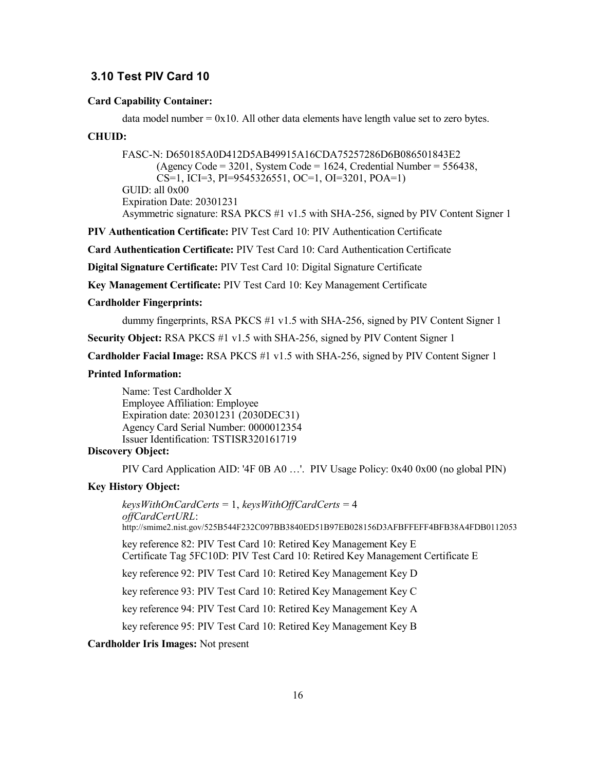# **3.10 Test PIV Card 10**

### **Card Capability Container:**

data model number  $= 0x10$ . All other data elements have length value set to zero bytes.

# **CHUID:**

```
(Agency Code = 3201, System Code = 1624, Credential Number = 556438,

CS=1, ICI=3, PI=9545326551, OC=1, OI=3201, POA=1) 

GUID: all 0x00 

Expiration Date: 20301231 

Asymmetric signature: RSA PKCS #1 v1.5 with SHA-256, signed by PIV Content Signer 1 
FASC-N: D650185A0D412D5AB49915A16CDA75257286D6B086501843E2
```
**PIV Authentication Certificate:** [PIV Test Card 10: PIV Authentication Certificate](#page-102-0) 

**Card Authentication Certificate:** [PIV Test Card 10: Card Authentication Certificate](#page-103-0) 

 **Digital Signature Certificate:** [PIV Test Card 10: Digital Signature Certificate](#page-104-0) 

**Key Management Certificate:** [PIV Test Card 10: Key Management Certificate](#page-105-0) 

### **Cardholder Fingerprints:**

dummy fingerprints, RSA PKCS #1 v1.5 with SHA-256, signed by [PIV Content Signer 1](#page-29-0) 

 **Security Object:** RSA PKCS #1 v1.5 with SHA-256, signed by [PIV Content Signer 1](#page-29-0) 

 **Cardholder Facial Image:** RSA PKCS #1 v1.5 with SHA-256, signed by [PIV Content Signer 1](#page-29-0) 

### **Printed Information:**

 Name: Test Cardholder X Employee Affiliation: Employee Expiration date: 20301231 (2030DEC31) Agency Card Serial Number: 0000012354 Issuer Identification: TSTISR320161719

# **Discovery Object:**

PIV Card Application AID: '4F 0B A0 …'. PIV Usage Policy: 0x40 0x00 (no global PIN)

### **Key History Object:**

 *keysWithOnCardCerts* = 1, *keysWithOffCardCerts* = 4 *offCardCertURL*: http://smime2.nist.gov/525B544F232C097BB3840ED51B97EB028156D3AFBFFEFF4BFB38A4FDB0112053

 key reference 82: [PIV Test Card 10: Retired Key Management Key E](#page-110-0)  Certificate Tag 5FC10D: [PIV Test Card 10: Retired Key Management Certificate E](#page-110-0) 

key reference 92: [PIV Test Card 10: Retired Key Management Key D](#page-109-0)

key reference 93: [PIV Test Card 10: Retired Key Management Key C](#page-108-0)

key reference 94: [PIV Test Card 10: Retired Key Management Key A](#page-106-0)

key reference 95: [PIV Test Card 10: Retired Key Management Key B](#page-107-0)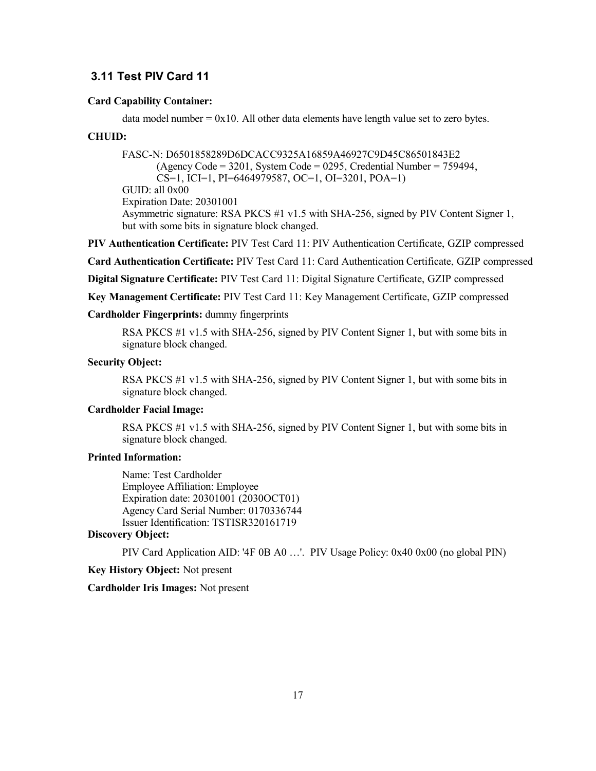# **3.11 Test PIV Card 11**

### **Card Capability Container:**

data model number  $= 0x10$ . All other data elements have length value set to zero bytes.

# **CHUID:**

(Agency Code =  $3201$ , System Code =  $0295$ , Credential Number =  $759494$ , CS=1, ICI=1, PI=6464979587, OC=1, OI=3201, POA=1) GUID: all 0x00 Expiration Date: 20301001 Asymmetric signature: RSA PKCS #1 v1.5 with SHA-256, signed by [PIV Content Signer 1,](#page-29-0) but with some bits in signature block changed. FASC-N: D6501858289D6DCACC9325A16859A46927C9D45C86501843E2

**PIV Authentication Certificate:** [PIV Test Card 11: PIV Authentication Certificate,](#page-111-0) GZIP compressed

**Card Authentication Certificate:** [PIV Test Card 11: Card Authentication Certificate,](#page-112-0) GZIP compressed

 **Digital Signature Certificate:** [PIV Test Card 11: Digital Signature Certificate,](#page-113-0) GZIP compressed

**Key Management Certificate:** [PIV Test Card 11: Key Management Certificate,](#page-114-0) GZIP compressed

### **Cardholder Fingerprints:** dummy fingerprints

 RSA PKCS #1 v1.5 with SHA-256, signed by [PIV Content Signer 1,](#page-29-0) but with some bits in signature block changed.

### **Security Object:**

 RSA PKCS #1 v1.5 with SHA-256, signed by [PIV Content Signer 1,](#page-29-0) but with some bits in signature block changed.

# **Cardholder Facial Image:**

 RSA PKCS #1 v1.5 with SHA-256, signed by [PIV Content Signer 1,](#page-29-0) but with some bits in signature block changed.

### **Printed Information:**

 Name: Test Cardholder Employee Affiliation: Employee Expiration date: 20301001 (2030OCT01) Agency Card Serial Number: 0170336744 Issuer Identification: TSTISR320161719

# **Discovery Object:**

PIV Card Application AID: '4F 0B A0 …'. PIV Usage Policy: 0x40 0x00 (no global PIN)

#### **Key History Object:** Not present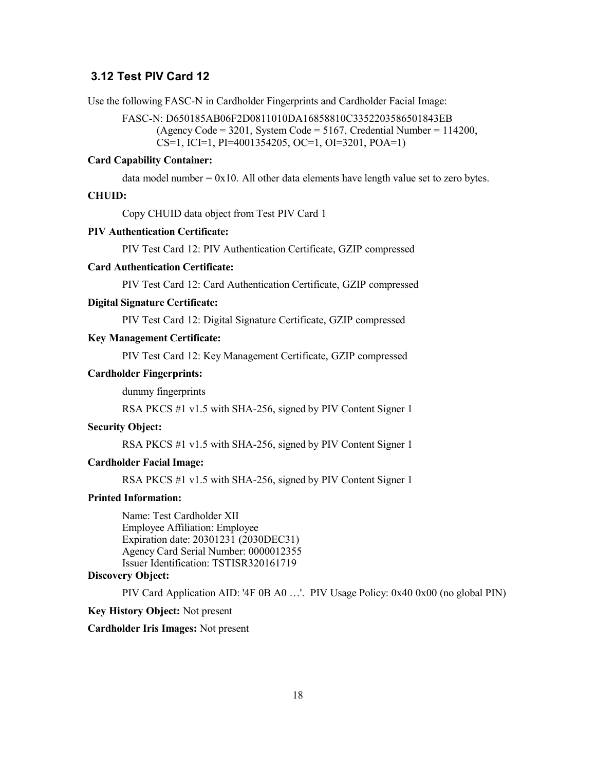# **3.12 Test PIV Card 12**

Use the following FASC-N in Cardholder Fingerprints and Cardholder Facial Image:

```
 
(Agency Code = 3201, System Code = 5167, Credential Number = 114200, 

CS=1, ICI=1, PI=4001354205, OC=1, OI=3201, POA=1) 
FASC-N: D650185AB06F2D0811010DA16858810C3352203586501843EB
```
#### **Card Capability Container:**

data model number =  $0x10$ . All other data elements have length value set to zero bytes.

# **CHUID:**

Copy CHUID data object from Test PIV Card 1

#### **PIV Authentication Certificate:**

[PIV Test Card 12: PIV Authentication Certificate,](#page-115-0) GZIP compressed

#### **Card Authentication Certificate:**

[PIV Test Card 12: Card Authentication Certificate,](#page-116-0) GZIP compressed

### **Digital Signature Certificate:**

[PIV Test Card 12: Digital Signature Certificate,](#page-117-0) GZIP compressed

### **Key Management Certificate:**

[PIV Test Card 12: Key Management Certificate,](#page-118-0) GZIP compressed

### **Cardholder Fingerprints:**

dummy fingerprints

RSA PKCS #1 v1.5 with SHA-256, signed by [PIV Content Signer 1](#page-29-0)

### **Security Object:**

RSA PKCS #1 v1.5 with SHA-256, signed by [PIV Content Signer 1](#page-29-0) 

### **Cardholder Facial Image:**

RSA PKCS #1 v1.5 with SHA-256, signed by [PIV Content Signer 1](#page-29-0) 

# **Printed Information:**

 Name: Test Cardholder XII Employee Affiliation: Employee Expiration date: 20301231 (2030DEC31) Agency Card Serial Number: 0000012355 Issuer Identification: TSTISR320161719

### **Discovery Object:**

PIV Card Application AID: '4F 0B A0 …'. PIV Usage Policy: 0x40 0x00 (no global PIN)

 **Key History Object:** Not present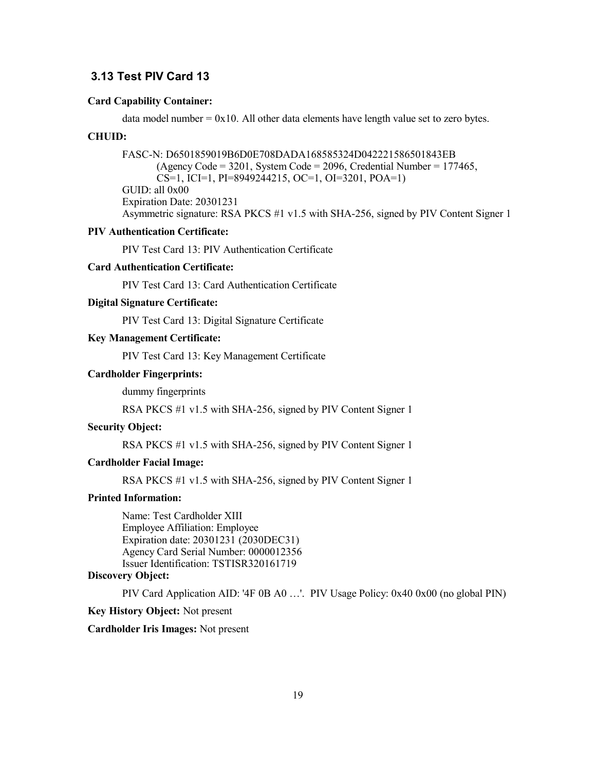# **3.13 Test PIV Card 13**

### **Card Capability Container:**

data model number  $= 0x10$ . All other data elements have length value set to zero bytes.

# **CHUID:**

(Agency Code =  $3201$ , System Code =  $2096$ , Credential Number =  $177465$ , CS=1, ICI=1, PI=8949244215, OC=1, OI=3201, POA=1) GUID: all 0x00 Expiration Date: 20301231 Asymmetric signature: RSA PKCS #1 v1.5 with SHA-256, signed by [PIV Content Signer 1](#page-29-0)  FASC-N: D6501859019B6D0E708DADA168585324D042221586501843EB

#### **PIV Authentication Certificate:**

[PIV Test Card 13: PIV Authentication Certificate](#page-119-0) 

# **Card Authentication Certificate:**

[PIV Test Card 13: Card Authentication Certificate](#page-120-0) 

### **Digital Signature Certificate:**

[PIV Test Card 13: Digital Signature Certificate](#page-121-0) 

# **Key Management Certificate:**

[PIV Test Card 13: Key Management Certificate](#page-122-0) 

### **Cardholder Fingerprints:**

dummy fingerprints

RSA PKCS #1 v1.5 with SHA-256, signed by [PIV Content Signer 1](#page-29-0)

### **Security Object:**

RSA PKCS #1 v1.5 with SHA-256, signed by [PIV Content Signer 1](#page-29-0) 

#### **Cardholder Facial Image:**

RSA PKCS #1 v1.5 with SHA-256, signed by [PIV Content Signer 1](#page-29-0) 

# **Printed Information:**

 Name: Test Cardholder XIII Employee Affiliation: Employee Expiration date: 20301231 (2030DEC31) Agency Card Serial Number: 0000012356 Issuer Identification: TSTISR320161719

### **Discovery Object:**

PIV Card Application AID: '4F 0B A0 …'. PIV Usage Policy: 0x40 0x00 (no global PIN)

### **Key History Object:** Not present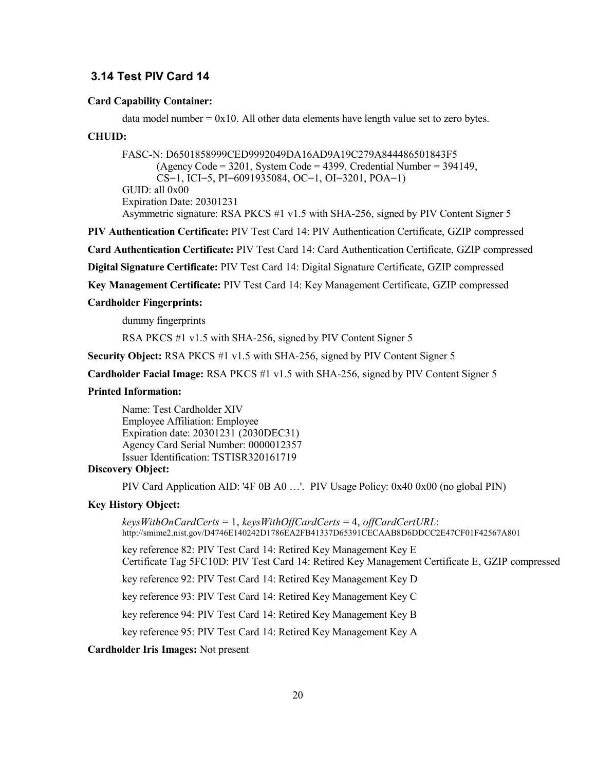# **3.14 Test PIV Card 14**

### **Card Capability Container:**

data model number  $= 0x10$ . All other data elements have length value set to zero bytes.

#### **CHUID:**

 (Agency Code = 3201, System Code = 4399, Credential Number = 394149, CS=1, ICI=5, PI=6091935084, OC=1, OI=3201, POA=1) GUID: all 0x00 Expiration Date: 20301231 Asymmetric signature: RSA PKCS #1 v1.5 with SHA-256, signed by [PIV Content Signer 5](#page-33-0)  FASC-N: D6501858999CED9992049DA16AD9A19C279A844486501843F5

 **PIV Authentication Certificate:** [PIV Test Card 14: PIV Authentication Certificate,](#page-123-0) GZIP compressed **Card Authentication Certificate:** [PIV Test Card 14: Card Authentication Certificate,](#page-124-0) GZIP compressed  **Digital Signature Certificate:** [PIV Test Card 14: Digital Signature Certificate,](#page-125-0) GZIP compressed **Key Management Certificate:** [PIV Test Card 14: Key Management Certificate,](#page-126-0) GZIP compressed

# **Cardholder Fingerprints:**

dummy fingerprints

RSA PKCS #1 v1.5 with SHA-256, signed by [PIV Content Signer 5](#page-33-0) 

 **Security Object:** RSA PKCS #1 v1.5 with SHA-256, signed by [PIV Content Signer 5](#page-33-0) 

 **Cardholder Facial Image:** RSA PKCS #1 v1.5 with SHA-256, signed by [PIV Content Signer 5](#page-33-0) 

# **Printed Information:**

 Name: Test Cardholder XIV Employee Affiliation: Employee Expiration date: 20301231 (2030DEC31) Agency Card Serial Number: 0000012357 Issuer Identification: TSTISR320161719

# **Discovery Object:**

PIV Card Application AID: '4F 0B A0 …'. PIV Usage Policy: 0x40 0x00 (no global PIN)

## **Key History Object:**

 *keysWithOnCardCerts* = 1, *keysWithOffCardCerts* = 4, *offCardCertURL*: http://smime2.nist.gov/D4746E140242D1786EA2FB41337D65391CECAAB8D6DDCC2E47CF01F42567A801

 key reference 82: [PIV Test Card 14: Retired Key Management Key E](#page-131-0)  Certificate Tag 5FC10D: [PIV Test Card 14: Retired Key Management Certificate E,](#page-131-0) GZIP compressed

key reference 92: [PIV Test Card 14: Retired Key Management Key D](#page-130-0) 

key reference 93: [PIV Test Card 14: Retired Key Management Key C](#page-129-0) 

key reference 94: [PIV Test Card 14: Retired Key Management Key B](#page-128-0) 

key reference 95: [PIV Test Card 14: Retired Key Management Key A](#page-127-0)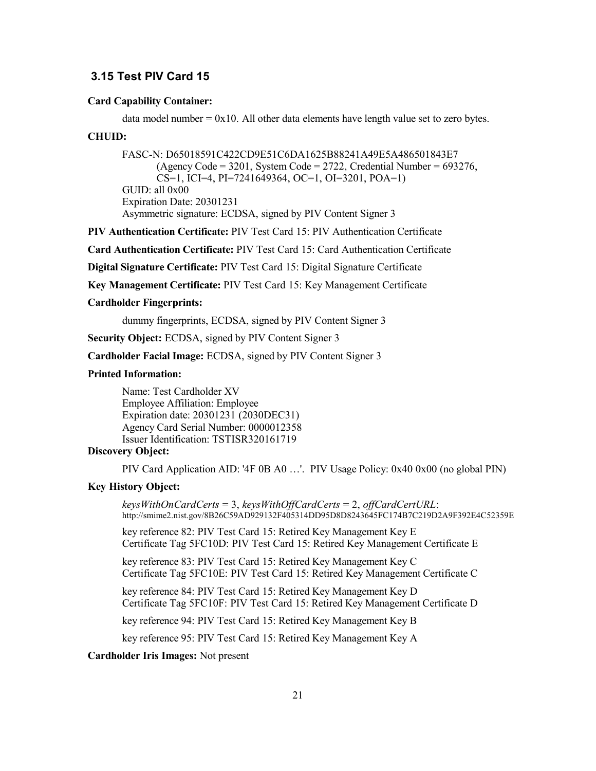# **3.15 Test PIV Card 15**

### **Card Capability Container:**

data model number  $= 0x10$ . All other data elements have length value set to zero bytes.

### **CHUID:**

 (Agency Code = 3201, System Code = 2722, Credential Number = 693276, CS=1, ICI=4, PI=7241649364, OC=1, OI=3201, POA=1) GUID: all 0x00 Expiration Date: 20301231 Asymmetric signature: ECDSA, signed by [PIV Content Signer 3](#page-31-0) FASC-N: D65018591C422CD9E51C6DA1625B88241A49E5A486501843E7

**PIV Authentication Certificate:** [PIV Test Card 15: PIV Authentication Certificate](#page-132-0) 

**Card Authentication Certificate:** [PIV Test Card 15: Card Authentication Certificate](#page-133-0) 

 **Digital Signature Certificate:** [PIV Test Card 15: Digital Signature Certificate](#page-134-0) 

**Key Management Certificate:** [PIV Test Card 15: Key Management Certificate](#page-135-0) 

### **Cardholder Fingerprints:**

dummy fingerprints, ECDSA, signed by [PIV Content Signer 3](#page-31-0) 

 **Security Object:** ECDSA, signed by [PIV Content Signer 3](#page-31-0) 

 **Cardholder Facial Image:** ECDSA, signed by [PIV Content Signer 3](#page-31-0) 

### **Printed Information:**

 Name: Test Cardholder XV Employee Affiliation: Employee Expiration date: 20301231 (2030DEC31) Agency Card Serial Number: 0000012358 Issuer Identification: TSTISR320161719

# **Discovery Object:**

PIV Card Application AID: '4F 0B A0 …'. PIV Usage Policy: 0x40 0x00 (no global PIN)

#### **Key History Object:**

 *keysWithOnCardCerts* = 3, *keysWithOffCardCerts* = 2, *offCardCertURL*: http://smime2.nist.gov/8B26C59AD929132F405314DD95D8D8243645FC174B7C219D2A9F392E4C52359E

 key reference 82: [PIV Test Card 15: Retired Key Management Key E](#page-140-0)  Certificate Tag 5FC10D: [PIV Test Card 15: Retired Key Management Certificate E](#page-140-0) 

 key reference 83: [PIV Test Card 15: Retired Key Management Key C](#page-138-0)  Certificate Tag 5FC10E: [PIV Test Card 15: Retired Key Management Certificate C](#page-138-0) 

 key reference 84: [PIV Test Card 15: Retired Key Management Key D](#page-139-0)  Certificate Tag 5FC10F: [PIV Test Card 15: Retired Key Management Certificate D](#page-139-0) 

key reference 94: [PIV Test Card 15: Retired Key Management Key B](#page-137-0) 

key reference 95: [PIV Test Card 15: Retired Key Management Key A](#page-136-0)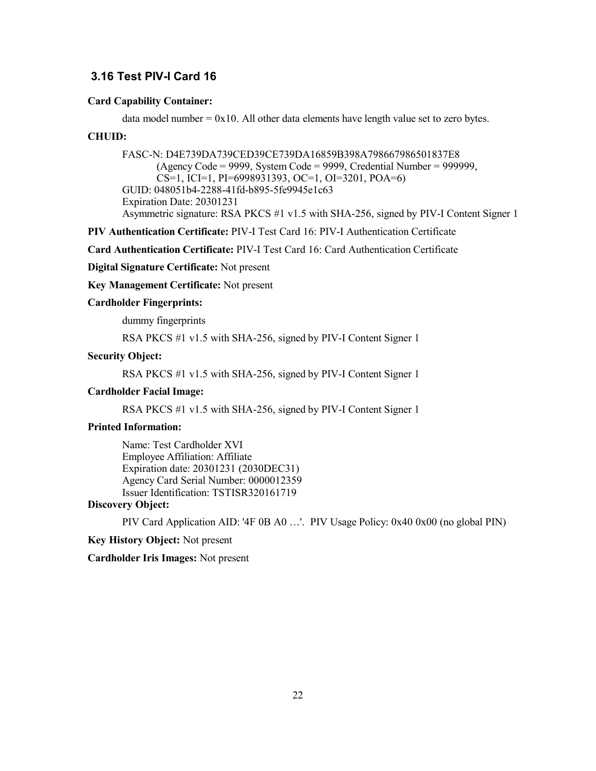# **3.16 Test PIV-I Card 16**

### **Card Capability Container:**

data model number  $= 0x10$ . All other data elements have length value set to zero bytes.

# **CHUID:**

 (Agency Code = 9999, System Code = 9999, Credential Number = 999999, CS=1, ICI=1, PI=6998931393, OC=1, OI=3201, POA=6) Expiration Date: 20301231 Asymmetric signature: RSA PKCS #1 v1.5 with SHA-256, signed by [PIV-I Content Signer 1](#page-34-0)  FASC-N: D4E739DA739CED39CE739DA16859B398A798667986501837E8 GUID: 048051b4-2288-41fd-b895-5fe9945e1c63

 **PIV Authentication Certificate:** [PIV-I Test Card 16: PIV-I Authentication Certificate](#page-141-0) 

 **Card Authentication Certificate:** [PIV-I Test Card 16: Card Authentication Certificate](#page-142-0) 

 **Digital Signature Certificate:** Not present

**Key Management Certificate:** Not present

### **Cardholder Fingerprints:**

dummy fingerprints

RSA PKCS #1 v1.5 with SHA-256, signed by [PIV-I Content Signer 1](#page-34-0)

### **Security Object:**

RSA PKCS #1 v1.5 with SHA-256, signed by [PIV-I Content Signer 1](#page-34-0) 

### **Cardholder Facial Image:**

RSA PKCS #1 v1.5 with SHA-256, signed by [PIV-I Content Signer 1](#page-34-0) 

### **Printed Information:**

 Name: Test Cardholder XVI Employee Affiliation: Affiliate Expiration date: 20301231 (2030DEC31) Agency Card Serial Number: 0000012359 Issuer Identification: TSTISR320161719

# **Discovery Object:**

PIV Card Application AID: '4F 0B A0 …'. PIV Usage Policy: 0x40 0x00 (no global PIN)

#### **Key History Object:** Not present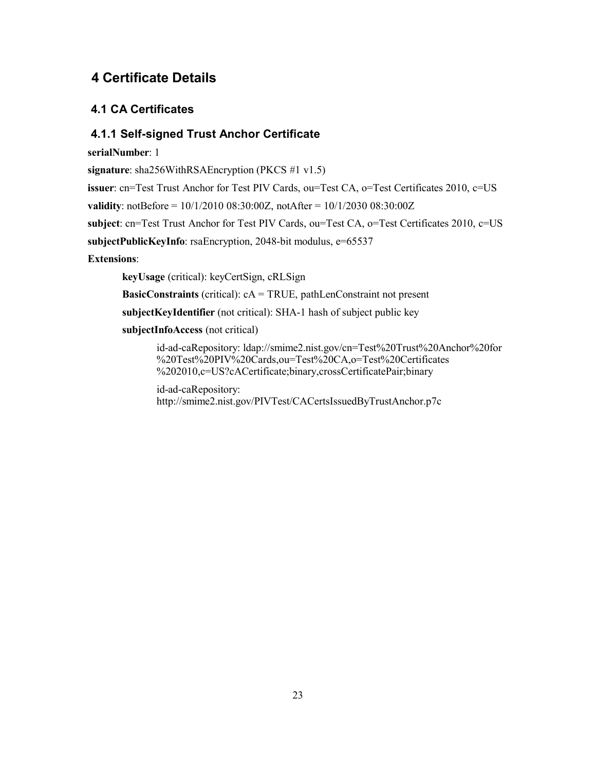# **4 Certificate Details**

# **4.1 CA Certificates**

# <span id="page-22-0"></span> **4.1.1 Self-signed Trust Anchor Certificate**

**serialNumber**: 1

**signature**: sha256WithRSAEncryption (PKCS #1 v1.5)

**issuer**: cn=Test Trust Anchor for Test PIV Cards, ou=Test CA, o=Test Certificates 2010, c=US

**validity**: notBefore = 10/1/2010 08:30:00Z, notAfter = 10/1/2030 08:30:00Z

**subject**: cn=Test Trust Anchor for Test PIV Cards, ou=Test CA, o=Test Certificates 2010, c=US

**subjectPublicKeyInfo**: rsaEncryption, 2048-bit modulus, e=65537

# **Extensions**:

**keyUsage** (critical): keyCertSign, cRLSign

**BasicConstraints** (critical): cA = TRUE, pathLenConstraint not present

**subjectKeyIdentifier** (not critical): SHA-1 hash of subject public key

**subjectInfoAccess** (not critical)

id-ad-caRepository: ldap://smime2.nist.gov/cn=Test%20Trust%20Anchor%20for %20Test%20PIV%20Cards,ou=Test%20CA,o=Test%20Certificates %202010,c=US?cACertificate;binary,crossCertificatePair;binary

id-ad-caRepository: http://smime2.nist.gov/PIVTest/CACertsIssuedByTrustAnchor.p7c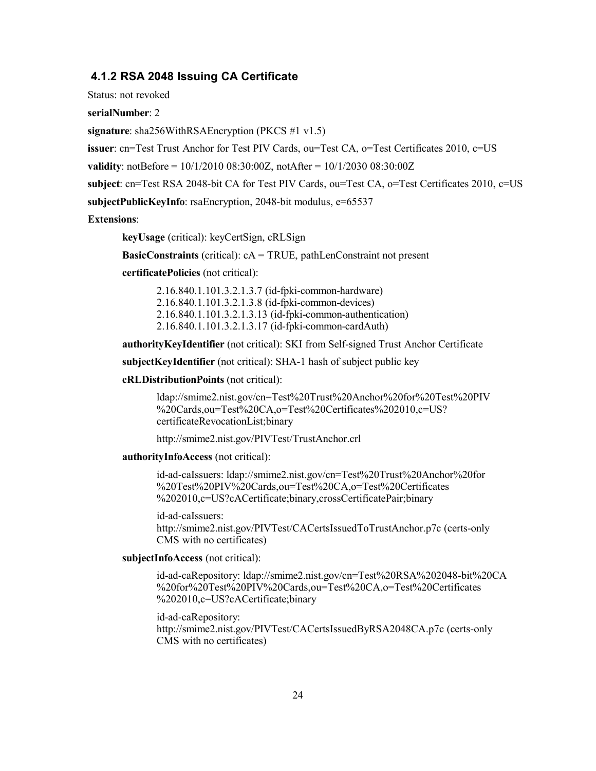# <span id="page-23-0"></span> **4.1.2 RSA 2048 Issuing CA Certificate**

Status: not revoked

**serialNumber**: 2

**signature**: sha256WithRSAEncryption (PKCS #1 v1.5)

**issuer**: [cn=Test Trust Anchor for Test PIV Cards, ou=Test CA, o=Test Certificates 2010, c=US](#page-22-0) 

**validity**: notBefore = 10/1/2010 08:30:00Z, notAfter = 10/1/2030 08:30:00Z

**subject**: cn=Test RSA 2048-bit CA for Test PIV Cards, ou=Test CA, o=Test Certificates 2010, c=US

**subjectPublicKeyInfo**: rsaEncryption, 2048-bit modulus, e=65537

**Extensions**:

**keyUsage** (critical): keyCertSign, cRLSign

**BasicConstraints** (critical): cA = TRUE, pathLenConstraint not present

**certificatePolicies** (not critical):

2.16.840.1.101.3.2.1.3.7 (id-fpki-common-hardware) 2.16.840.1.101.3.2.1.3.8 (id-fpki-common-devices) 2.16.840.1.101.3.2.1.3.13 (id-fpki-common-authentication) 2.16.840.1.101.3.2.1.3.17 (id-fpki-common-cardAuth)

**authorityKeyIdentifier** (not critical): SKI from Self-signed Trust Anchor Certificate

**subjectKeyIdentifier** (not critical): SHA-1 hash of subject public key

**cRLDistributionPoints** (not critical):

ldap://smime2.nist.gov/cn=Test%20Trust%20Anchor%20for%20Test%20PIV %20Cards,ou=Test%20CA,o=Test%20Certificates%202010,c=US? certificateRevocationList;binary

http://smime2.nist.gov/PIVTest/TrustAnchor.crl

#### **authorityInfoAccess** (not critical):

id-ad-caIssuers: ldap://smime2.nist.gov/cn=Test%20Trust%20Anchor%20for %20Test%20PIV%20Cards,ou=Test%20CA,o=Test%20Certificates %202010,c=US?cACertificate;binary,crossCertificatePair;binary

 http://smime2.nist.gov/PIVTest/CACertsIssuedToTrustAnchor.p7c (certs-only CMS with no certificates) id-ad-caIssuers:

### **subjectInfoAccess** (not critical):

id-ad-caRepository: ldap://smime2.nist.gov/cn=Test%20RSA%202048-bit%20CA %20for%20Test%20PIV%20Cards,ou=Test%20CA,o=Test%20Certificates %202010,c=US?cACertificate;binary

 http://smime2.nist.gov/PIVTest/CACertsIssuedByRSA2048CA.p7c (certs-only CMS with no certificates) id-ad-caRepository: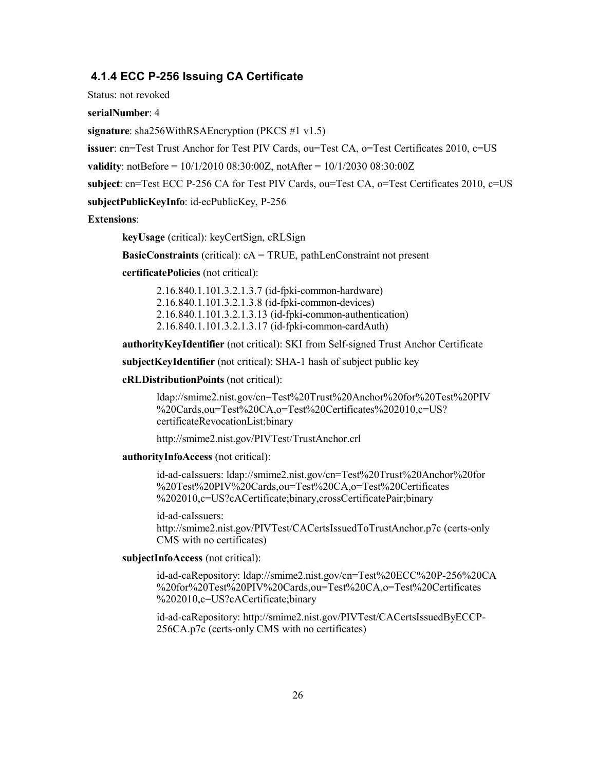# <span id="page-25-0"></span> **4.1.4 ECC P-256 Issuing CA Certificate**

Status: not revoked

**serialNumber**: 4

**signature**: sha256WithRSAEncryption (PKCS #1 v1.5)

**issuer**: [cn=Test Trust Anchor for Test PIV Cards, ou=Test CA, o=Test Certificates 2010, c=US](#page-22-0) 

**validity**: notBefore = 10/1/2010 08:30:00Z, notAfter = 10/1/2030 08:30:00Z

**subject**: cn=Test ECC P-256 CA for Test PIV Cards, ou=Test CA, o=Test Certificates 2010, c=US

#### **subjectPublicKeyInfo**: id-ecPublicKey, P-256

**Extensions**:

**keyUsage** (critical): keyCertSign, cRLSign

**BasicConstraints** (critical): cA = TRUE, pathLenConstraint not present

**certificatePolicies** (not critical):

2.16.840.1.101.3.2.1.3.7 (id-fpki-common-hardware) 2.16.840.1.101.3.2.1.3.8 (id-fpki-common-devices) 2.16.840.1.101.3.2.1.3.13 (id-fpki-common-authentication) 2.16.840.1.101.3.2.1.3.17 (id-fpki-common-cardAuth)

**authorityKeyIdentifier** (not critical): SKI from Self-signed Trust Anchor Certificate

**subjectKeyIdentifier** (not critical): SHA-1 hash of subject public key

#### **cRLDistributionPoints** (not critical):

ldap://smime2.nist.gov/cn=Test%20Trust%20Anchor%20for%20Test%20PIV %20Cards,ou=Test%20CA,o=Test%20Certificates%202010,c=US? certificateRevocationList;binary

http://smime2.nist.gov/PIVTest/TrustAnchor.crl

#### **authorityInfoAccess** (not critical):

id-ad-caIssuers: ldap://smime2.nist.gov/cn=Test%20Trust%20Anchor%20for %20Test%20PIV%20Cards,ou=Test%20CA,o=Test%20Certificates %202010,c=US?cACertificate;binary,crossCertificatePair;binary

id-ad-caIssuers:

 http://smime2.nist.gov/PIVTest/CACertsIssuedToTrustAnchor.p7c (certs-only CMS with no certificates)

### **subjectInfoAccess** (not critical):

id-ad-caRepository: ldap://smime2.nist.gov/cn=Test%20ECC%20P-256%20CA %20for%20Test%20PIV%20Cards,ou=Test%20CA,o=Test%20Certificates %202010,c=US?cACertificate;binary

 256CA.p7c (certs-only CMS with no certificates) id-ad-caRepository: http://smime2.nist.gov/PIVTest/CACertsIssuedByECCP-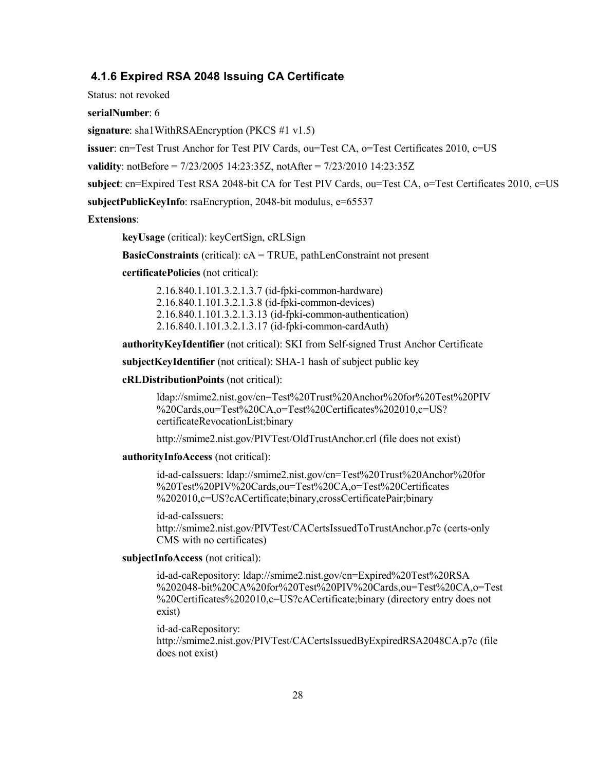# **4.1.6 Expired RSA 2048 Issuing CA Certificate**

Status: not revoked

**serialNumber**: 6

**signature**: sha1WithRSAEncryption (PKCS #1 v1.5)

**issuer**: [cn=Test Trust Anchor for Test PIV Cards, ou=Test CA, o=Test Certificates 2010, c=US](#page-22-0) 

**validity**: notBefore = 7/23/2005 14:23:35Z, notAfter = 7/23/2010 14:23:35Z

**subject**: cn=Expired Test RSA 2048-bit CA for Test PIV Cards, ou=Test CA, o=Test Certificates 2010, c=US

**subjectPublicKeyInfo**: rsaEncryption, 2048-bit modulus, e=65537

**Extensions**:

**keyUsage** (critical): keyCertSign, cRLSign

**BasicConstraints** (critical): cA = TRUE, pathLenConstraint not present

**certificatePolicies** (not critical):

2.16.840.1.101.3.2.1.3.7 (id-fpki-common-hardware) 2.16.840.1.101.3.2.1.3.8 (id-fpki-common-devices) 2.16.840.1.101.3.2.1.3.13 (id-fpki-common-authentication) 2.16.840.1.101.3.2.1.3.17 (id-fpki-common-cardAuth)

**authorityKeyIdentifier** (not critical): SKI from Self-signed Trust Anchor Certificate

**subjectKeyIdentifier** (not critical): SHA-1 hash of subject public key

**cRLDistributionPoints** (not critical):

ldap://smime2.nist.gov/cn=Test%20Trust%20Anchor%20for%20Test%20PIV %20Cards,ou=Test%20CA,o=Test%20Certificates%202010,c=US? certificateRevocationList;binary

http://smime2.nist.gov/PIVTest/OldTrustAnchor.crl (file does not exist)

**authorityInfoAccess** (not critical):

id-ad-caIssuers: ldap://smime2.nist.gov/cn=Test%20Trust%20Anchor%20for %20Test%20PIV%20Cards,ou=Test%20CA,o=Test%20Certificates %202010,c=US?cACertificate;binary,crossCertificatePair;binary

 http://smime2.nist.gov/PIVTest/CACertsIssuedToTrustAnchor.p7c (certs-only CMS with no certificates) id-ad-caIssuers:

**subjectInfoAccess** (not critical):

 %20Certificates%202010,c=US?cACertificate;binary (directory entry does not id-ad-caRepository: ldap://smime2.nist.gov/cn=Expired%20Test%20RSA %202048-bit%20CA%20for%20Test%20PIV%20Cards,ou=Test%20CA,o=Test exist)

id-ad-caRepository:

 http://smime2.nist.gov/PIVTest/CACertsIssuedByExpiredRSA2048CA.p7c (file does not exist)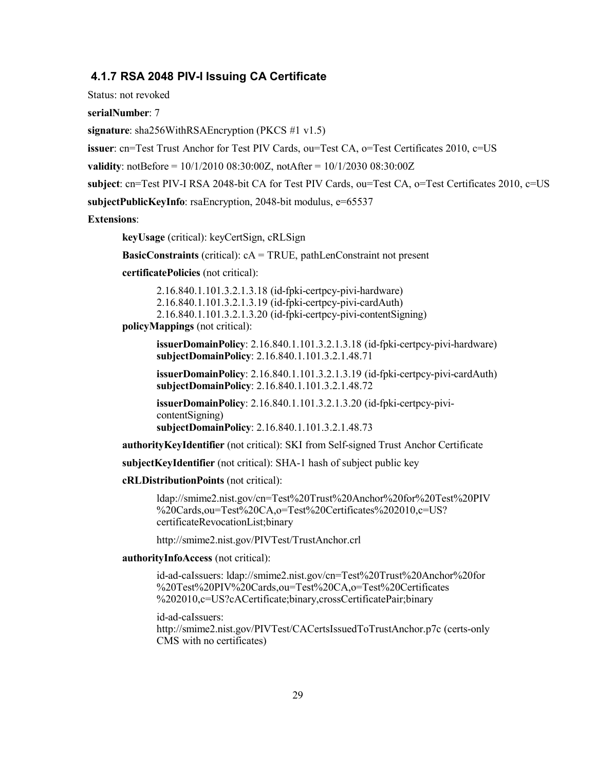# <span id="page-28-0"></span> **4.1.7 RSA 2048 PIV-I Issuing CA Certificate**

Status: not revoked

**serialNumber**: 7

**signature**: sha256WithRSAEncryption (PKCS #1 v1.5)

**issuer**: [cn=Test Trust Anchor for Test PIV Cards, ou=Test CA, o=Test Certificates 2010, c=US](#page-22-0) 

**validity**: notBefore = 10/1/2010 08:30:00Z, notAfter = 10/1/2030 08:30:00Z

**subject**: cn=Test PIV-I RSA 2048-bit CA for Test PIV Cards, ou=Test CA, o=Test Certificates 2010, c=US

**subjectPublicKeyInfo**: rsaEncryption, 2048-bit modulus, e=65537

**Extensions**:

**keyUsage** (critical): keyCertSign, cRLSign

**BasicConstraints** (critical): cA = TRUE, pathLenConstraint not present

**certificatePolicies** (not critical):

2.16.840.1.101.3.2.1.3.18 (id-fpki-certpcy-pivi-hardware) 2.16.840.1.101.3.2.1.3.19 (id-fpki-certpcy-pivi-cardAuth) 2.16.840.1.101.3.2.1.3.20 (id-fpki-certpcy-pivi-contentSigning)

**policyMappings** (not critical):

**issuerDomainPolicy**: 2.16.840.1.101.3.2.1.3.18 (id-fpki-certpcy-pivi-hardware) **subjectDomainPolicy**: 2.16.840.1.101.3.2.1.48.71

**issuerDomainPolicy**: 2.16.840.1.101.3.2.1.3.19 (id-fpki-certpcy-pivi-cardAuth) **subjectDomainPolicy**: 2.16.840.1.101.3.2.1.48.72

**issuerDomainPolicy**: 2.16.840.1.101.3.2.1.3.20 (id-fpki-certpcy-pivicontentSigning)

**subjectDomainPolicy**: 2.16.840.1.101.3.2.1.48.73

**authorityKeyIdentifier** (not critical): SKI from Self-signed Trust Anchor Certificate

**subjectKeyIdentifier** (not critical): SHA-1 hash of subject public key

**cRLDistributionPoints** (not critical):

ldap://smime2.nist.gov/cn=Test%20Trust%20Anchor%20for%20Test%20PIV %20Cards,ou=Test%20CA,o=Test%20Certificates%202010,c=US? certificateRevocationList;binary

http://smime2.nist.gov/PIVTest/TrustAnchor.crl

**authorityInfoAccess** (not critical):

id-ad-caIssuers: ldap://smime2.nist.gov/cn=Test%20Trust%20Anchor%20for %20Test%20PIV%20Cards,ou=Test%20CA,o=Test%20Certificates %202010,c=US?cACertificate;binary,crossCertificatePair;binary

id-ad-caIssuers:

 http://smime2.nist.gov/PIVTest/CACertsIssuedToTrustAnchor.p7c (certs-only CMS with no certificates)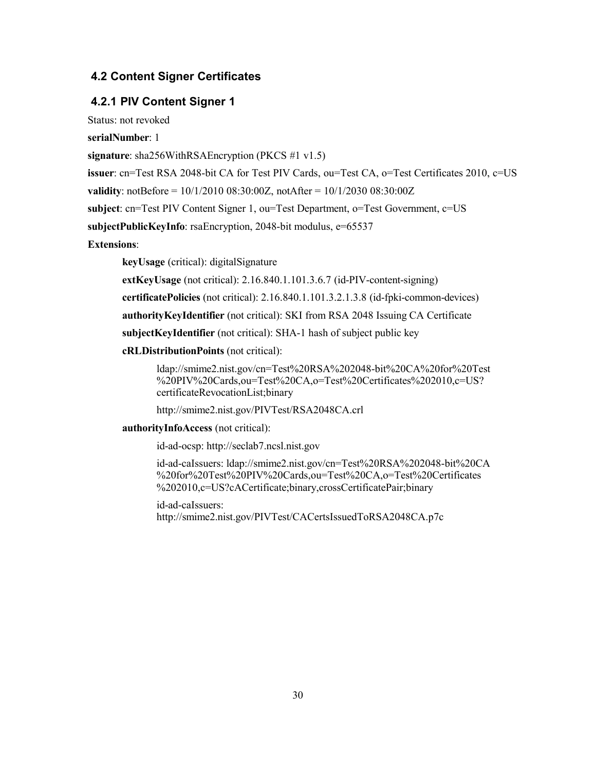# **4.2 Content Signer Certificates**

# <span id="page-29-0"></span> **4.2.1 PIV Content Signer 1**

Status: not revoked

**serialNumber**: 1

**signature**: sha256WithRSAEncryption (PKCS #1 v1.5)

**issuer**: [cn=Test RSA 2048-bit CA for Test PIV Cards, ou=Test CA, o=Test Certificates 2010, c=US](#page-23-0) 

**validity**: notBefore = 10/1/2010 08:30:00Z, notAfter = 10/1/2030 08:30:00Z

**subject**: cn=Test PIV Content Signer 1, ou=Test Department, o=Test Government, c=US

**subjectPublicKeyInfo**: rsaEncryption, 2048-bit modulus, e=65537

**Extensions**:

**keyUsage** (critical): digitalSignature

**extKeyUsage** (not critical): 2.16.840.1.101.3.6.7 (id-PIV-content-signing)

**certificatePolicies** (not critical): 2.16.840.1.101.3.2.1.3.8 (id-fpki-common-devices)

**authorityKeyIdentifier** (not critical): SKI from RSA 2048 Issuing CA Certificate

**subjectKeyIdentifier** (not critical): SHA-1 hash of subject public key

**cRLDistributionPoints** (not critical):

ldap://smime2.nist.gov/cn=Test%20RSA%202048-bit%20CA%20for%20Test %20PIV%20Cards,ou=Test%20CA,o=Test%20Certificates%202010,c=US? certificateRevocationList;binary

http://smime2.nist.gov/PIVTest/RSA2048CA.crl

#### **authorityInfoAccess** (not critical):

id-ad-ocsp: http://seclab7.ncsl.nist.gov

id-ad-caIssuers: ldap://smime2.nist.gov/cn=Test%20RSA%202048-bit%20CA %20for%20Test%20PIV%20Cards,ou=Test%20CA,o=Test%20Certificates %202010,c=US?cACertificate;binary,crossCertificatePair;binary

id-ad-caIssuers: http://smime2.nist.gov/PIVTest/CACertsIssuedToRSA2048CA.p7c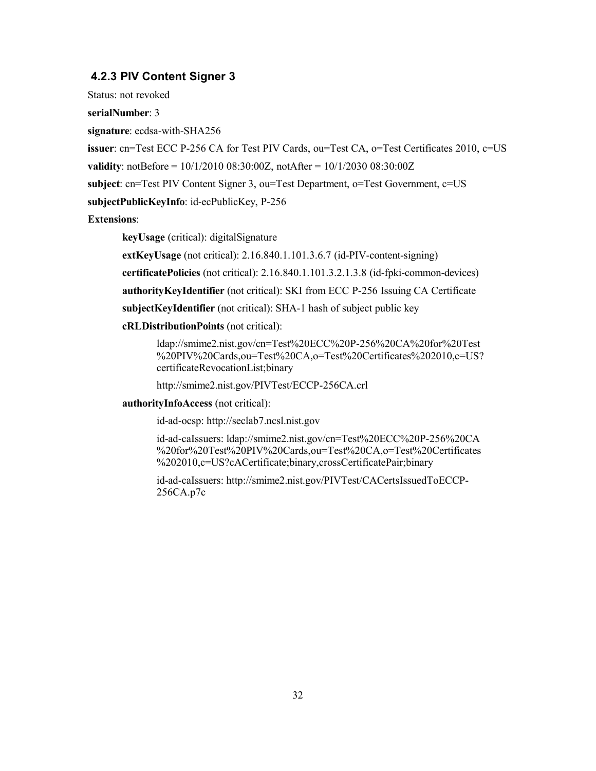# <span id="page-31-0"></span> **4.2.3 PIV Content Signer 3**

Status: not revoked

**serialNumber**: 3

**signature**: ecdsa-with-SHA256

**issuer**: [cn=Test ECC P-256 CA for Test PIV Cards, ou=Test CA, o=Test Certificates 2010, c=US](#page-25-0) 

**validity**: notBefore = 10/1/2010 08:30:00Z, notAfter = 10/1/2030 08:30:00Z

**subject**: cn=Test PIV Content Signer 3, ou=Test Department, o=Test Government, c=US

**subjectPublicKeyInfo**: id-ecPublicKey, P-256

**Extensions**:

**keyUsage** (critical): digitalSignature

**extKeyUsage** (not critical): 2.16.840.1.101.3.6.7 (id-PIV-content-signing)

**certificatePolicies** (not critical): 2.16.840.1.101.3.2.1.3.8 (id-fpki-common-devices)

**authorityKeyIdentifier** (not critical): SKI from ECC P-256 Issuing CA Certificate

**subjectKeyIdentifier** (not critical): SHA-1 hash of subject public key

### **cRLDistributionPoints** (not critical):

ldap://smime2.nist.gov/cn=Test%20ECC%20P-256%20CA%20for%20Test %20PIV%20Cards,ou=Test%20CA,o=Test%20Certificates%202010,c=US? certificateRevocationList;binary

http://smime2.nist.gov/PIVTest/ECCP-256CA.crl

#### **authorityInfoAccess** (not critical):

id-ad-ocsp: http://seclab7.ncsl.nist.gov

id-ad-caIssuers: ldap://smime2.nist.gov/cn=Test%20ECC%20P-256%20CA %20for%20Test%20PIV%20Cards,ou=Test%20CA,o=Test%20Certificates %202010,c=US?cACertificate;binary,crossCertificatePair;binary

id-ad-caIssuers: http://smime2.nist.gov/PIVTest/CACertsIssuedToECCP-256CA.p7c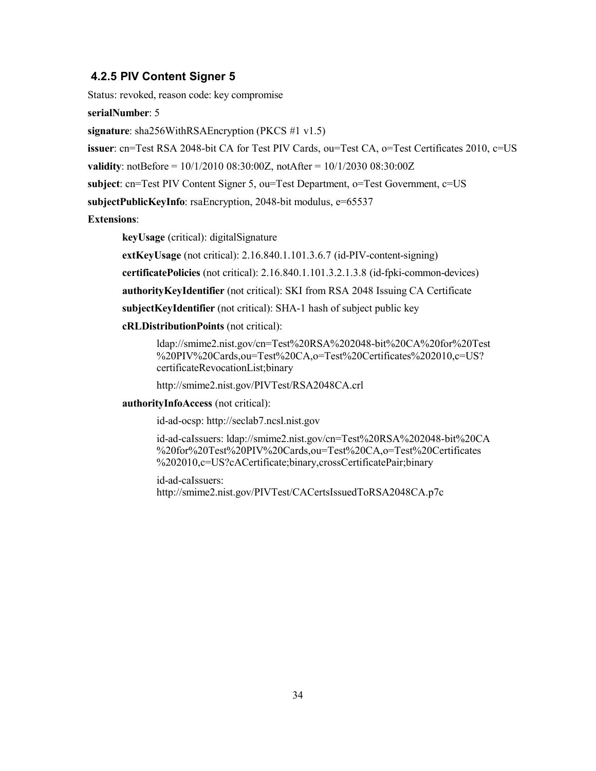# <span id="page-33-0"></span> **4.2.5 PIV Content Signer 5**

Status: revoked, reason code: key compromise

**serialNumber**: 5

**signature**: sha256WithRSAEncryption (PKCS #1 v1.5)

**issuer**: [cn=Test RSA 2048-bit CA for Test PIV Cards, ou=Test CA, o=Test Certificates 2010, c=US](#page-23-0) 

**validity**: notBefore = 10/1/2010 08:30:00Z, notAfter = 10/1/2030 08:30:00Z

**subject**: cn=Test PIV Content Signer 5, ou=Test Department, o=Test Government, c=US

**subjectPublicKeyInfo**: rsaEncryption, 2048-bit modulus, e=65537

**Extensions**:

**keyUsage** (critical): digitalSignature

**extKeyUsage** (not critical): 2.16.840.1.101.3.6.7 (id-PIV-content-signing)

**certificatePolicies** (not critical): 2.16.840.1.101.3.2.1.3.8 (id-fpki-common-devices)

**authorityKeyIdentifier** (not critical): SKI from RSA 2048 Issuing CA Certificate

**subjectKeyIdentifier** (not critical): SHA-1 hash of subject public key

### **cRLDistributionPoints** (not critical):

ldap://smime2.nist.gov/cn=Test%20RSA%202048-bit%20CA%20for%20Test %20PIV%20Cards,ou=Test%20CA,o=Test%20Certificates%202010,c=US? certificateRevocationList;binary

http://smime2.nist.gov/PIVTest/RSA2048CA.crl

#### **authorityInfoAccess** (not critical):

id-ad-ocsp: http://seclab7.ncsl.nist.gov

id-ad-caIssuers: ldap://smime2.nist.gov/cn=Test%20RSA%202048-bit%20CA %20for%20Test%20PIV%20Cards,ou=Test%20CA,o=Test%20Certificates %202010,c=US?cACertificate;binary,crossCertificatePair;binary

id-ad-caIssuers: http://smime2.nist.gov/PIVTest/CACertsIssuedToRSA2048CA.p7c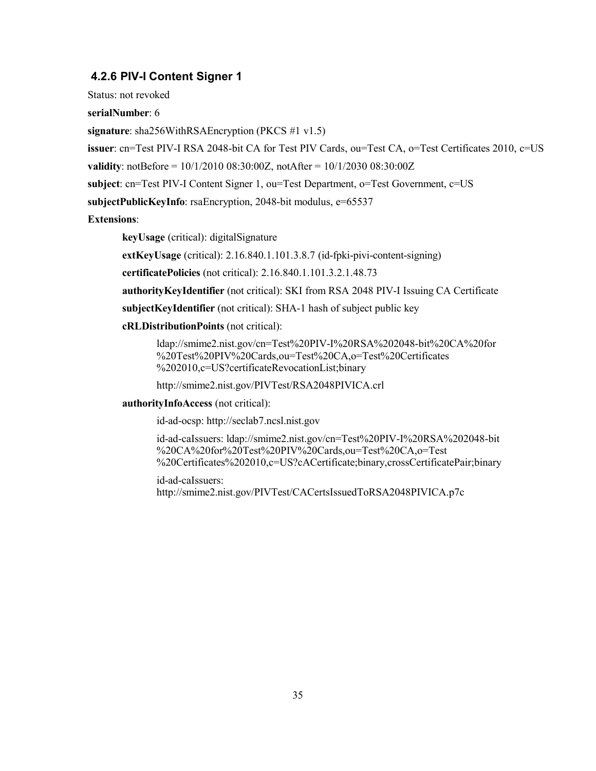# <span id="page-34-0"></span> **4.2.6 PIV-I Content Signer 1**

Status: not revoked

**serialNumber**: 6

**signature**: sha256WithRSAEncryption (PKCS #1 v1.5)

**issuer**: [cn=Test PIV-I RSA 2048-bit CA for Test PIV Cards, ou=Test CA, o=Test Certificates 2010, c=US](#page-28-0) 

**validity**: notBefore = 10/1/2010 08:30:00Z, notAfter = 10/1/2030 08:30:00Z

**subject**: cn=Test PIV-I Content Signer 1, ou=Test Department, o=Test Government, c=US

**subjectPublicKeyInfo**: rsaEncryption, 2048-bit modulus, e=65537

**Extensions**:

**keyUsage** (critical): digitalSignature

**extKeyUsage** (critical): 2.16.840.1.101.3.8.7 (id-fpki-pivi-content-signing)

**certificatePolicies** (not critical): 2.16.840.1.101.3.2.1.48.73

**authorityKeyIdentifier** (not critical): SKI from RSA 2048 PIV-I Issuing CA Certificate

**subjectKeyIdentifier** (not critical): SHA-1 hash of subject public key

#### **cRLDistributionPoints** (not critical):

ldap://smime2.nist.gov/cn=Test%20PIV-I%20RSA%202048-bit%20CA%20for %20Test%20PIV%20Cards,ou=Test%20CA,o=Test%20Certificates %202010,c=US?certificateRevocationList;binary

http://smime2.nist.gov/PIVTest/RSA2048PIVICA.crl

#### **authorityInfoAccess** (not critical):

id-ad-ocsp: http://seclab7.ncsl.nist.gov

id-ad-caIssuers: ldap://smime2.nist.gov/cn=Test%20PIV-I%20RSA%202048-bit %20CA%20for%20Test%20PIV%20Cards,ou=Test%20CA,o=Test %20Certificates%202010,c=US?cACertificate;binary,crossCertificatePair;binary

id-ad-caIssuers: http://smime2.nist.gov/PIVTest/CACertsIssuedToRSA2048PIVICA.p7c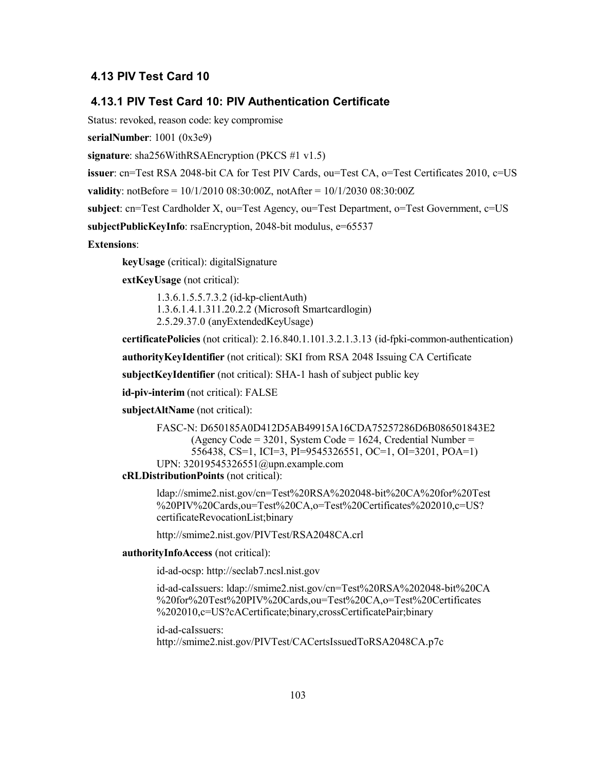## **4.13 PIV Test Card 10**

## **4.13.1 PIV Test Card 10: PIV Authentication Certificate**

Status: revoked, reason code: key compromise

**serialNumber**: 1001 (0x3e9)

**signature**: sha256WithRSAEncryption (PKCS #1 v1.5)

**issuer**: [cn=Test RSA 2048-bit CA for Test PIV Cards, ou=Test CA, o=Test Certificates 2010, c=US](#page-23-0) 

**validity**: notBefore = 10/1/2010 08:30:00Z, notAfter = 10/1/2030 08:30:00Z

**subject**: cn=Test Cardholder X, ou=Test Agency, ou=Test Department, o=Test Government, c=US

**subjectPublicKeyInfo**: rsaEncryption, 2048-bit modulus, e=65537

**Extensions**:

**keyUsage** (critical): digitalSignature

**extKeyUsage** (not critical):

 1.3.6.1.4.1.311.20.2.2 (Microsoft Smartcardlogin) 1.3.6.1.5.5.7.3.2 (id-kp-clientAuth) 2.5.29.37.0 (anyExtendedKeyUsage)

**certificatePolicies** (not critical): 2.16.840.1.101.3.2.1.3.13 (id-fpki-common-authentication)

**authorityKeyIdentifier** (not critical): SKI from RSA 2048 Issuing CA Certificate

**subjectKeyIdentifier** (not critical): SHA-1 hash of subject public key

**id-piv-interim** (not critical): FALSE

**subjectAltName** (not critical):

```
(Agency Code = 3201, System Code = 1624, Credential Number =

556438, CS=1, ICI=3, PI=9545326551, OC=1, OI=3201, POA=1) 
FASC-N: D650185A0D412D5AB49915A16CDA75257286D6B086501843E2 
UPN: 32019545326551@upn.example.com
```
**cRLDistributionPoints** (not critical):

ldap://smime2.nist.gov/cn=Test%20RSA%202048-bit%20CA%20for%20Test %20PIV%20Cards,ou=Test%20CA,o=Test%20Certificates%202010,c=US? certificateRevocationList;binary

http://smime2.nist.gov/PIVTest/RSA2048CA.crl

**authorityInfoAccess** (not critical):

id-ad-ocsp: http://seclab7.ncsl.nist.gov

id-ad-caIssuers: ldap://smime2.nist.gov/cn=Test%20RSA%202048-bit%20CA %20for%20Test%20PIV%20Cards,ou=Test%20CA,o=Test%20Certificates %202010,c=US?cACertificate;binary,crossCertificatePair;binary

id-ad-caIssuers: http://smime2.nist.gov/PIVTest/CACertsIssuedToRSA2048CA.p7c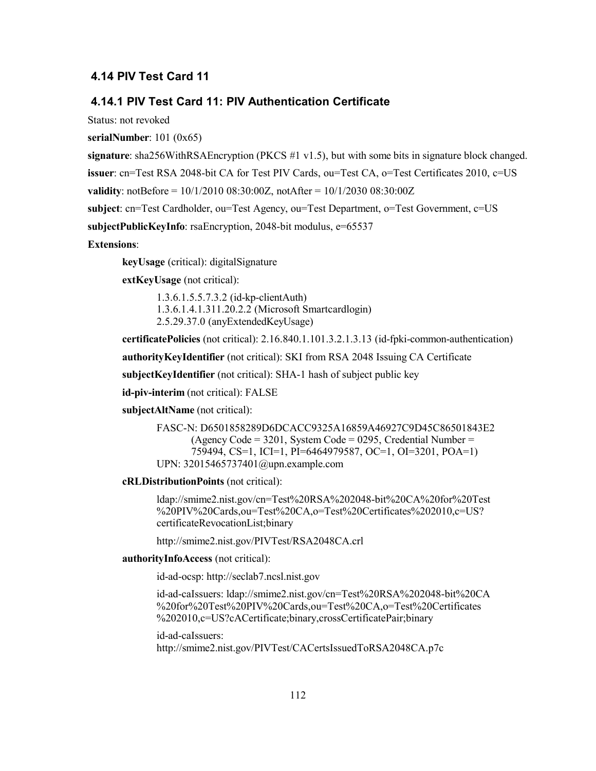## **4.14 PIV Test Card 11**

## **4.14.1 PIV Test Card 11: PIV Authentication Certificate**

Status: not revoked

**serialNumber**: 101 (0x65)

**signature**: sha256WithRSAEncryption (PKCS #1 v1.5), but with some bits in signature block changed.

**issuer**: [cn=Test RSA 2048-bit CA for Test PIV Cards, ou=Test CA, o=Test Certificates 2010, c=US](#page-23-0) 

**validity**: notBefore = 10/1/2010 08:30:00Z, notAfter = 10/1/2030 08:30:00Z

**subject**: cn=Test Cardholder, ou=Test Agency, ou=Test Department, o=Test Government, c=US

**subjectPublicKeyInfo**: rsaEncryption, 2048-bit modulus, e=65537

### **Extensions**:

**keyUsage** (critical): digitalSignature

**extKeyUsage** (not critical):

 1.3.6.1.4.1.311.20.2.2 (Microsoft Smartcardlogin) 1.3.6.1.5.5.7.3.2 (id-kp-clientAuth) 2.5.29.37.0 (anyExtendedKeyUsage)

**certificatePolicies** (not critical): 2.16.840.1.101.3.2.1.3.13 (id-fpki-common-authentication)

**authorityKeyIdentifier** (not critical): SKI from RSA 2048 Issuing CA Certificate

**subjectKeyIdentifier** (not critical): SHA-1 hash of subject public key

**id-piv-interim** (not critical): FALSE

**subjectAltName** (not critical):

```
(Agency Code = 3201, System Code = 0295, Credential Number =

759494, CS=1, ICI=1, PI=6464979587, OC=1, OI=3201, POA=1) 
FASC-N: D6501858289D6DCACC9325A16859A46927C9D45C86501843E2 
UPN: 32015465737401@upn.example.com
```
**cRLDistributionPoints** (not critical):

ldap://smime2.nist.gov/cn=Test%20RSA%202048-bit%20CA%20for%20Test %20PIV%20Cards,ou=Test%20CA,o=Test%20Certificates%202010,c=US? certificateRevocationList;binary

http://smime2.nist.gov/PIVTest/RSA2048CA.crl

**authorityInfoAccess** (not critical):

id-ad-ocsp: http://seclab7.ncsl.nist.gov

id-ad-caIssuers: ldap://smime2.nist.gov/cn=Test%20RSA%202048-bit%20CA %20for%20Test%20PIV%20Cards,ou=Test%20CA,o=Test%20Certificates %202010,c=US?cACertificate;binary,crossCertificatePair;binary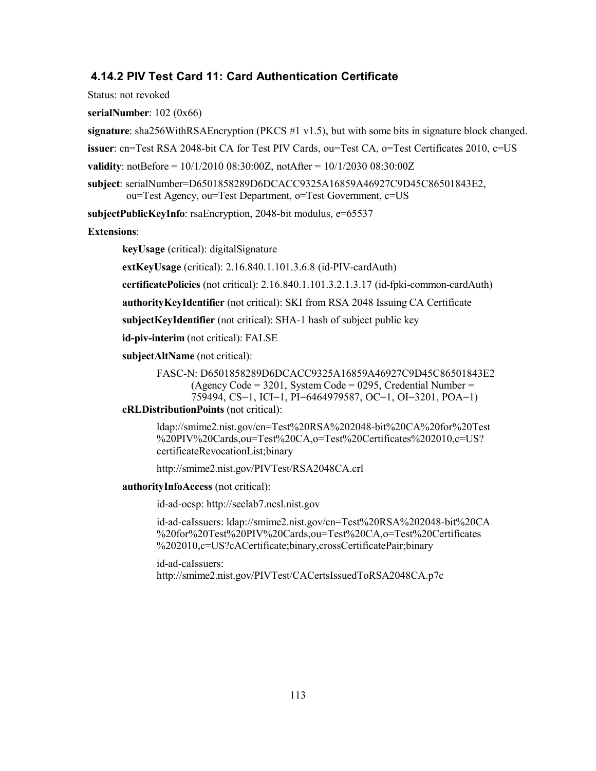### **4.14.2 PIV Test Card 11: Card Authentication Certificate**

Status: not revoked

**serialNumber**: 102 (0x66)

**signature**: sha256WithRSAEncryption (PKCS #1 v1.5), but with some bits in signature block changed.

**issuer**: [cn=Test RSA 2048-bit CA for Test PIV Cards, ou=Test CA, o=Test Certificates 2010, c=US](#page-23-0)

**validity**: notBefore = 10/1/2010 08:30:00Z, notAfter = 10/1/2030 08:30:00Z

 ou=Test Agency, ou=Test Department, o=Test Government, c=US **subject**: serialNumber=D6501858289D6DCACC9325A16859A46927C9D45C86501843E2,

**subjectPublicKeyInfo**: rsaEncryption, 2048-bit modulus, e=65537

#### **Extensions**:

**keyUsage** (critical): digitalSignature

**extKeyUsage** (critical): 2.16.840.1.101.3.6.8 (id-PIV-cardAuth)

**certificatePolicies** (not critical): 2.16.840.1.101.3.2.1.3.17 (id-fpki-common-cardAuth)

**authorityKeyIdentifier** (not critical): SKI from RSA 2048 Issuing CA Certificate

**subjectKeyIdentifier** (not critical): SHA-1 hash of subject public key

**id-piv-interim** (not critical): FALSE

**subjectAltName** (not critical):

(Agency Code =  $3201$ , System Code =  $0295$ , Credential Number = 759494, CS=1, ICI=1, PI=6464979587, OC=1, OI=3201, POA=1) FASC-N: D6501858289D6DCACC9325A16859A46927C9D45C86501843E2

## **cRLDistributionPoints** (not critical):

ldap://smime2.nist.gov/cn=Test%20RSA%202048-bit%20CA%20for%20Test %20PIV%20Cards,ou=Test%20CA,o=Test%20Certificates%202010,c=US? certificateRevocationList;binary

http://smime2.nist.gov/PIVTest/RSA2048CA.crl

#### **authorityInfoAccess** (not critical):

id-ad-ocsp: http://seclab7.ncsl.nist.gov

id-ad-caIssuers: ldap://smime2.nist.gov/cn=Test%20RSA%202048-bit%20CA %20for%20Test%20PIV%20Cards,ou=Test%20CA,o=Test%20Certificates %202010,c=US?cACertificate;binary,crossCertificatePair;binary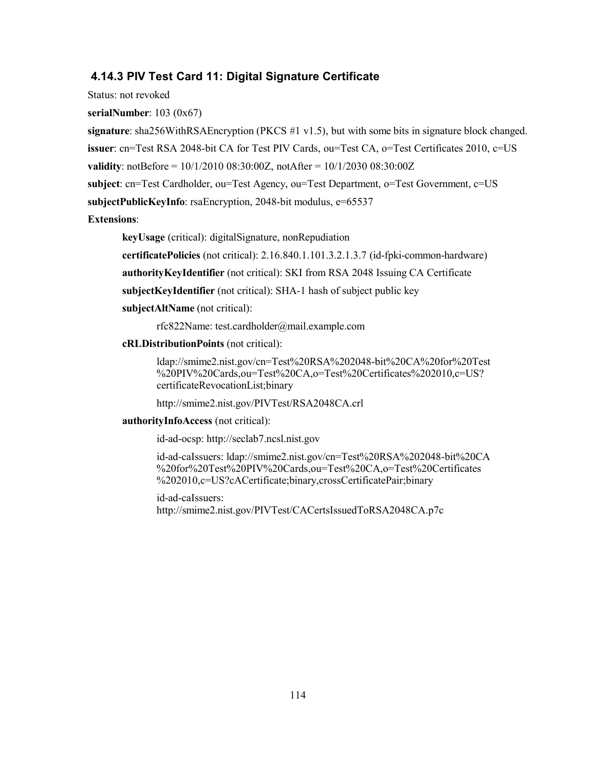### **4.14.3 PIV Test Card 11: Digital Signature Certificate**

Status: not revoked

**serialNumber**: 103 (0x67)

**signature**: sha256WithRSAEncryption (PKCS #1 v1.5), but with some bits in signature block changed.

**issuer**: [cn=Test RSA 2048-bit CA for Test PIV Cards, ou=Test CA, o=Test Certificates 2010, c=US](#page-23-0) 

```
 
validity: notBefore = 10/1/2010 08:30:00Z, notAfter = 10/1/2030 08:30:00Z
```

```
 
subject: cn=Test Cardholder, ou=Test Agency, ou=Test Department, o=Test Government, c=US
```
**subjectPublicKeyInfo**: rsaEncryption, 2048-bit modulus, e=65537

**Extensions**:

**keyUsage** (critical): digitalSignature, nonRepudiation

**certificatePolicies** (not critical): 2.16.840.1.101.3.2.1.3.7 (id-fpki-common-hardware)

**authorityKeyIdentifier** (not critical): SKI from RSA 2048 Issuing CA Certificate

**subjectKeyIdentifier** (not critical): SHA-1 hash of subject public key

**subjectAltName** (not critical):

rfc822Name: test.cardholder@mail.example.com

### **cRLDistributionPoints** (not critical):

ldap://smime2.nist.gov/cn=Test%20RSA%202048-bit%20CA%20for%20Test %20PIV%20Cards,ou=Test%20CA,o=Test%20Certificates%202010,c=US? certificateRevocationList;binary

http://smime2.nist.gov/PIVTest/RSA2048CA.crl

#### **authorityInfoAccess** (not critical):

id-ad-ocsp: http://seclab7.ncsl.nist.gov

id-ad-caIssuers: ldap://smime2.nist.gov/cn=Test%20RSA%202048-bit%20CA %20for%20Test%20PIV%20Cards,ou=Test%20CA,o=Test%20Certificates %202010,c=US?cACertificate;binary,crossCertificatePair;binary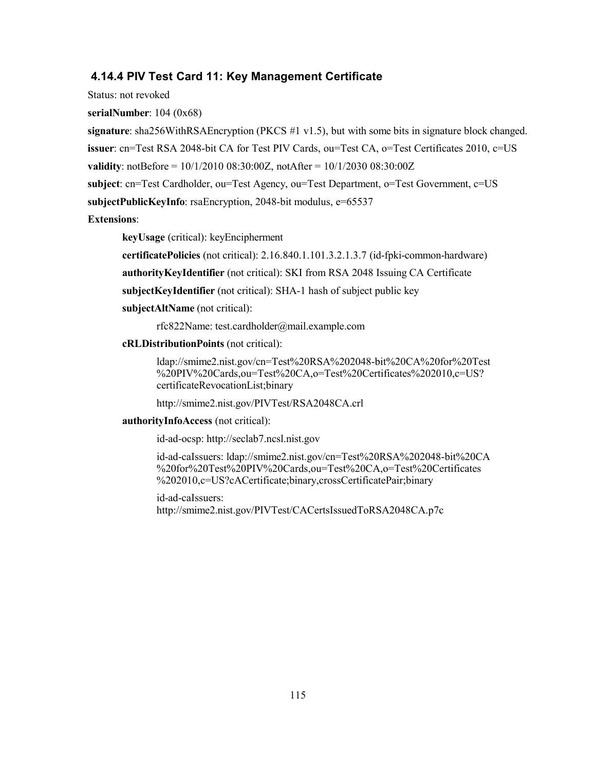### **4.14.4 PIV Test Card 11: Key Management Certificate**

Status: not revoked

**serialNumber**: 104 (0x68)

**signature**: sha256WithRSAEncryption (PKCS #1 v1.5), but with some bits in signature block changed.

**issuer**: [cn=Test RSA 2048-bit CA for Test PIV Cards, ou=Test CA, o=Test Certificates 2010, c=US](#page-23-0) 

```
 
validity: notBefore = 10/1/2010 08:30:00Z, notAfter = 10/1/2030 08:30:00Z
```
**subject**: cn=Test Cardholder, ou=Test Agency, ou=Test Department, o=Test Government, c=US

**subjectPublicKeyInfo**: rsaEncryption, 2048-bit modulus, e=65537

**Extensions**:

**keyUsage** (critical): keyEncipherment

**certificatePolicies** (not critical): 2.16.840.1.101.3.2.1.3.7 (id-fpki-common-hardware)

**authorityKeyIdentifier** (not critical): SKI from RSA 2048 Issuing CA Certificate

**subjectKeyIdentifier** (not critical): SHA-1 hash of subject public key

**subjectAltName** (not critical):

rfc822Name: test.cardholder@mail.example.com

### **cRLDistributionPoints** (not critical):

ldap://smime2.nist.gov/cn=Test%20RSA%202048-bit%20CA%20for%20Test %20PIV%20Cards,ou=Test%20CA,o=Test%20Certificates%202010,c=US? certificateRevocationList;binary

http://smime2.nist.gov/PIVTest/RSA2048CA.crl

#### **authorityInfoAccess** (not critical):

id-ad-ocsp: http://seclab7.ncsl.nist.gov

id-ad-caIssuers: ldap://smime2.nist.gov/cn=Test%20RSA%202048-bit%20CA %20for%20Test%20PIV%20Cards,ou=Test%20CA,o=Test%20Certificates %202010,c=US?cACertificate;binary,crossCertificatePair;binary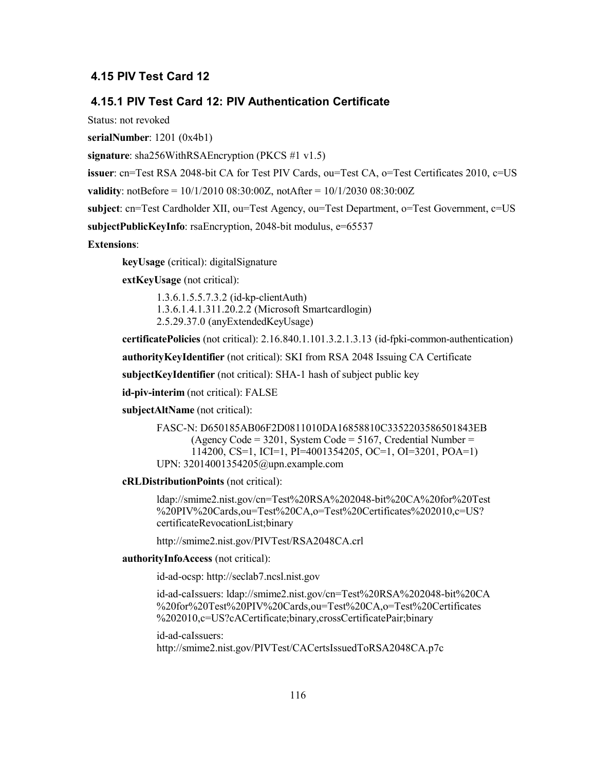## **4.15 PIV Test Card 12**

### **4.15.1 PIV Test Card 12: PIV Authentication Certificate**

Status: not revoked

**serialNumber**: 1201 (0x4b1)

**signature**: sha256WithRSAEncryption (PKCS #1 v1.5)

**issuer**: [cn=Test RSA 2048-bit CA for Test PIV Cards, ou=Test CA, o=Test Certificates 2010, c=US](#page-23-0) 

**validity**: notBefore = 10/1/2010 08:30:00Z, notAfter = 10/1/2030 08:30:00Z

**subject**: cn=Test Cardholder XII, ou=Test Agency, ou=Test Department, o=Test Government, c=US

**subjectPublicKeyInfo**: rsaEncryption, 2048-bit modulus, e=65537

**Extensions**:

**keyUsage** (critical): digitalSignature

**extKeyUsage** (not critical):

 1.3.6.1.4.1.311.20.2.2 (Microsoft Smartcardlogin) 1.3.6.1.5.5.7.3.2 (id-kp-clientAuth) 2.5.29.37.0 (anyExtendedKeyUsage)

**certificatePolicies** (not critical): 2.16.840.1.101.3.2.1.3.13 (id-fpki-common-authentication)

**authorityKeyIdentifier** (not critical): SKI from RSA 2048 Issuing CA Certificate

**subjectKeyIdentifier** (not critical): SHA-1 hash of subject public key

**id-piv-interim** (not critical): FALSE

**subjectAltName** (not critical):

```
 
(Agency Code = 3201, System Code = 5167, Credential Number = 

114200, CS=1, ICI=1, PI=4001354205, OC=1, OI=3201, POA=1) 
FASC-N: D650185AB06F2D0811010DA16858810C3352203586501843EB 
UPN: 32014001354205@upn.example.com
```
**cRLDistributionPoints** (not critical):

ldap://smime2.nist.gov/cn=Test%20RSA%202048-bit%20CA%20for%20Test %20PIV%20Cards,ou=Test%20CA,o=Test%20Certificates%202010,c=US? certificateRevocationList;binary

http://smime2.nist.gov/PIVTest/RSA2048CA.crl

**authorityInfoAccess** (not critical):

id-ad-ocsp: http://seclab7.ncsl.nist.gov

id-ad-caIssuers: ldap://smime2.nist.gov/cn=Test%20RSA%202048-bit%20CA %20for%20Test%20PIV%20Cards,ou=Test%20CA,o=Test%20Certificates %202010,c=US?cACertificate;binary,crossCertificatePair;binary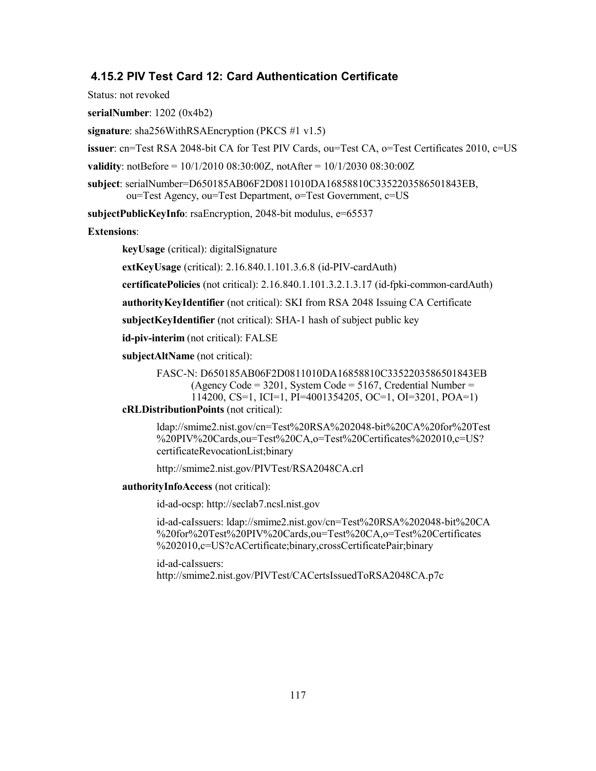### **4.15.2 PIV Test Card 12: Card Authentication Certificate**

Status: not revoked

**serialNumber**: 1202 (0x4b2)

**signature**: sha256WithRSAEncryption (PKCS #1 v1.5)

**issuer**: [cn=Test RSA 2048-bit CA for Test PIV Cards, ou=Test CA, o=Test Certificates 2010, c=US](#page-23-0)

**validity**: notBefore = 10/1/2010 08:30:00Z, notAfter = 10/1/2030 08:30:00Z

 ou=Test Agency, ou=Test Department, o=Test Government, c=US **subject**: serialNumber=D650185AB06F2D0811010DA16858810C3352203586501843EB,

**subjectPublicKeyInfo**: rsaEncryption, 2048-bit modulus, e=65537

#### **Extensions**:

**keyUsage** (critical): digitalSignature

**extKeyUsage** (critical): 2.16.840.1.101.3.6.8 (id-PIV-cardAuth)

**certificatePolicies** (not critical): 2.16.840.1.101.3.2.1.3.17 (id-fpki-common-cardAuth)

**authorityKeyIdentifier** (not critical): SKI from RSA 2048 Issuing CA Certificate

**subjectKeyIdentifier** (not critical): SHA-1 hash of subject public key

**id-piv-interim** (not critical): FALSE

**subjectAltName** (not critical):

(Agency Code =  $3201$ , System Code =  $5167$ , Credential Number = 114200, CS=1, ICI=1, PI=4001354205, OC=1, OI=3201, POA=1) FASC-N: D650185AB06F2D0811010DA16858810C3352203586501843EB

### **cRLDistributionPoints** (not critical):

ldap://smime2.nist.gov/cn=Test%20RSA%202048-bit%20CA%20for%20Test %20PIV%20Cards,ou=Test%20CA,o=Test%20Certificates%202010,c=US? certificateRevocationList;binary

http://smime2.nist.gov/PIVTest/RSA2048CA.crl

#### **authorityInfoAccess** (not critical):

id-ad-ocsp: http://seclab7.ncsl.nist.gov

id-ad-caIssuers: ldap://smime2.nist.gov/cn=Test%20RSA%202048-bit%20CA %20for%20Test%20PIV%20Cards,ou=Test%20CA,o=Test%20Certificates %202010,c=US?cACertificate;binary,crossCertificatePair;binary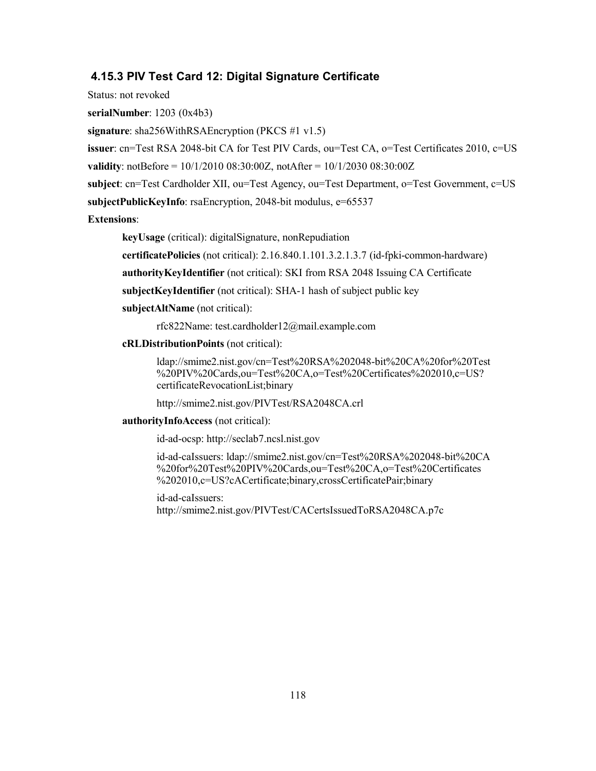### **4.15.3 PIV Test Card 12: Digital Signature Certificate**

Status: not revoked

**serialNumber**: 1203 (0x4b3)

**signature**: sha256WithRSAEncryption (PKCS #1 v1.5)

**issuer**: [cn=Test RSA 2048-bit CA for Test PIV Cards, ou=Test CA, o=Test Certificates 2010, c=US](#page-23-0) 

```
 
validity: notBefore = 10/1/2010 08:30:00Z, notAfter = 10/1/2030 08:30:00Z
```
**subject**: cn=Test Cardholder XII, ou=Test Agency, ou=Test Department, o=Test Government, c=US

**subjectPublicKeyInfo**: rsaEncryption, 2048-bit modulus, e=65537

**Extensions**:

**keyUsage** (critical): digitalSignature, nonRepudiation

**certificatePolicies** (not critical): 2.16.840.1.101.3.2.1.3.7 (id-fpki-common-hardware)

**authorityKeyIdentifier** (not critical): SKI from RSA 2048 Issuing CA Certificate

**subjectKeyIdentifier** (not critical): SHA-1 hash of subject public key

**subjectAltName** (not critical):

rfc822Name: test.cardholder12@mail.example.com

### **cRLDistributionPoints** (not critical):

ldap://smime2.nist.gov/cn=Test%20RSA%202048-bit%20CA%20for%20Test %20PIV%20Cards,ou=Test%20CA,o=Test%20Certificates%202010,c=US? certificateRevocationList;binary

http://smime2.nist.gov/PIVTest/RSA2048CA.crl

#### **authorityInfoAccess** (not critical):

id-ad-ocsp: http://seclab7.ncsl.nist.gov

id-ad-caIssuers: ldap://smime2.nist.gov/cn=Test%20RSA%202048-bit%20CA %20for%20Test%20PIV%20Cards,ou=Test%20CA,o=Test%20Certificates %202010,c=US?cACertificate;binary,crossCertificatePair;binary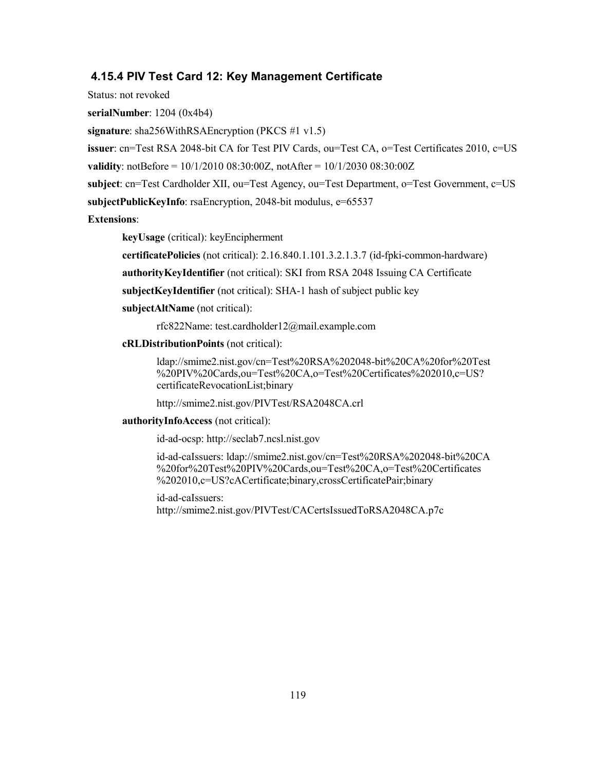### **4.15.4 PIV Test Card 12: Key Management Certificate**

Status: not revoked

**serialNumber**: 1204 (0x4b4)

**signature**: sha256WithRSAEncryption (PKCS #1 v1.5)

**issuer**: [cn=Test RSA 2048-bit CA for Test PIV Cards, ou=Test CA, o=Test Certificates 2010, c=US](#page-23-0) 

```
 
validity: notBefore = 10/1/2010 08:30:00Z, notAfter = 10/1/2030 08:30:00Z
```
 **subject**: cn=Test Cardholder XII, ou=Test Agency, ou=Test Department, o=Test Government, c=US **subjectPublicKeyInfo**: rsaEncryption, 2048-bit modulus, e=65537

**Extensions**:

**keyUsage** (critical): keyEncipherment

**certificatePolicies** (not critical): 2.16.840.1.101.3.2.1.3.7 (id-fpki-common-hardware)

**authorityKeyIdentifier** (not critical): SKI from RSA 2048 Issuing CA Certificate

**subjectKeyIdentifier** (not critical): SHA-1 hash of subject public key

**subjectAltName** (not critical):

rfc822Name: test.cardholder12@mail.example.com

### **cRLDistributionPoints** (not critical):

ldap://smime2.nist.gov/cn=Test%20RSA%202048-bit%20CA%20for%20Test %20PIV%20Cards,ou=Test%20CA,o=Test%20Certificates%202010,c=US? certificateRevocationList;binary

http://smime2.nist.gov/PIVTest/RSA2048CA.crl

#### **authorityInfoAccess** (not critical):

id-ad-ocsp: http://seclab7.ncsl.nist.gov

id-ad-caIssuers: ldap://smime2.nist.gov/cn=Test%20RSA%202048-bit%20CA %20for%20Test%20PIV%20Cards,ou=Test%20CA,o=Test%20Certificates %202010,c=US?cACertificate;binary,crossCertificatePair;binary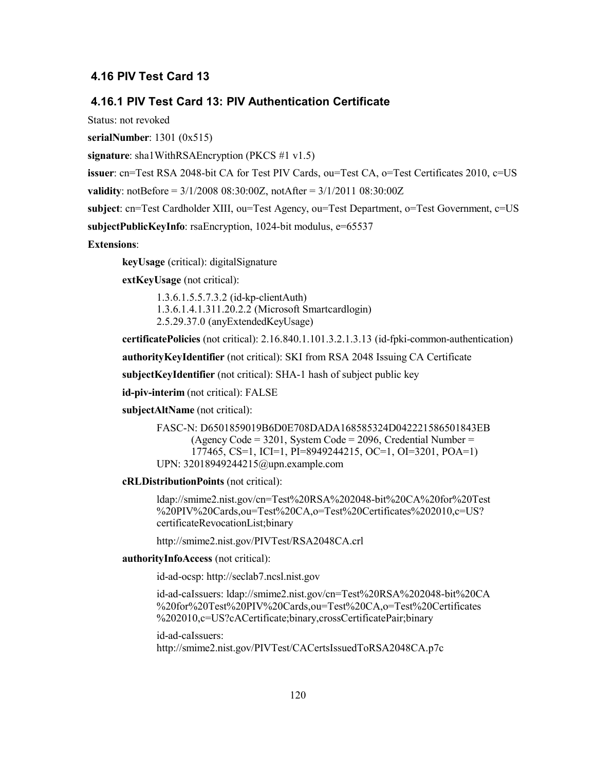## **4.16 PIV Test Card 13**

### **4.16.1 PIV Test Card 13: PIV Authentication Certificate**

Status: not revoked

**serialNumber**: 1301 (0x515)

**signature**: sha1WithRSAEncryption (PKCS #1 v1.5)

**issuer**: [cn=Test RSA 2048-bit CA for Test PIV Cards, ou=Test CA, o=Test Certificates 2010, c=US](#page-23-0) 

**validity**: notBefore = 3/1/2008 08:30:00Z, notAfter = 3/1/2011 08:30:00Z

**subject**: cn=Test Cardholder XIII, ou=Test Agency, ou=Test Department, o=Test Government, c=US

**subjectPublicKeyInfo**: rsaEncryption, 1024-bit modulus, e=65537

**Extensions**:

**keyUsage** (critical): digitalSignature

**extKeyUsage** (not critical):

 1.3.6.1.4.1.311.20.2.2 (Microsoft Smartcardlogin) 1.3.6.1.5.5.7.3.2 (id-kp-clientAuth) 2.5.29.37.0 (anyExtendedKeyUsage)

**certificatePolicies** (not critical): 2.16.840.1.101.3.2.1.3.13 (id-fpki-common-authentication)

**authorityKeyIdentifier** (not critical): SKI from RSA 2048 Issuing CA Certificate

**subjectKeyIdentifier** (not critical): SHA-1 hash of subject public key

**id-piv-interim** (not critical): FALSE

**subjectAltName** (not critical):

```
 
(Agency Code = 3201, System Code = 2096, Credential Number = 

177465, CS=1, ICI=1, PI=8949244215, OC=1, OI=3201, POA=1) 
FASC-N: D6501859019B6D0E708DADA168585324D042221586501843EB 
UPN: 32018949244215@upn.example.com
```
**cRLDistributionPoints** (not critical):

ldap://smime2.nist.gov/cn=Test%20RSA%202048-bit%20CA%20for%20Test %20PIV%20Cards,ou=Test%20CA,o=Test%20Certificates%202010,c=US? certificateRevocationList;binary

http://smime2.nist.gov/PIVTest/RSA2048CA.crl

**authorityInfoAccess** (not critical):

id-ad-ocsp: http://seclab7.ncsl.nist.gov

id-ad-caIssuers: ldap://smime2.nist.gov/cn=Test%20RSA%202048-bit%20CA %20for%20Test%20PIV%20Cards,ou=Test%20CA,o=Test%20Certificates %202010,c=US?cACertificate;binary,crossCertificatePair;binary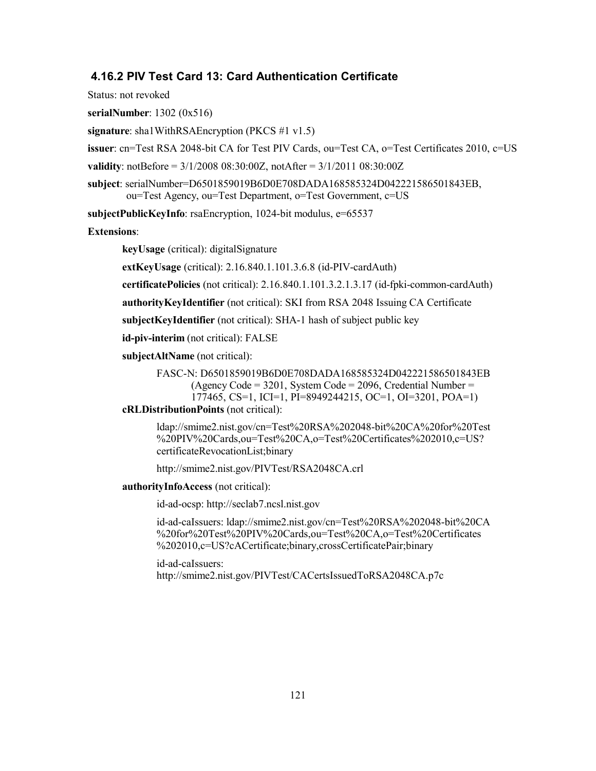### **4.16.2 PIV Test Card 13: Card Authentication Certificate**

Status: not revoked

**serialNumber**: 1302 (0x516)

**signature**: sha1WithRSAEncryption (PKCS #1 v1.5)

**issuer**: [cn=Test RSA 2048-bit CA for Test PIV Cards, ou=Test CA, o=Test Certificates 2010, c=US](#page-23-0)

**validity**: notBefore = 3/1/2008 08:30:00Z, notAfter = 3/1/2011 08:30:00Z

 ou=Test Agency, ou=Test Department, o=Test Government, c=US **subject**: serialNumber=D6501859019B6D0E708DADA168585324D042221586501843EB,

**subjectPublicKeyInfo**: rsaEncryption, 1024-bit modulus, e=65537

#### **Extensions**:

**keyUsage** (critical): digitalSignature

**extKeyUsage** (critical): 2.16.840.1.101.3.6.8 (id-PIV-cardAuth)

**certificatePolicies** (not critical): 2.16.840.1.101.3.2.1.3.17 (id-fpki-common-cardAuth)

**authorityKeyIdentifier** (not critical): SKI from RSA 2048 Issuing CA Certificate

**subjectKeyIdentifier** (not critical): SHA-1 hash of subject public key

**id-piv-interim** (not critical): FALSE

**subjectAltName** (not critical):

 (Agency Code = 3201, System Code = 2096, Credential Number = 177465, CS=1, ICI=1, PI=8949244215, OC=1, OI=3201, POA=1) FASC-N: D6501859019B6D0E708DADA168585324D042221586501843EB

### **cRLDistributionPoints** (not critical):

ldap://smime2.nist.gov/cn=Test%20RSA%202048-bit%20CA%20for%20Test %20PIV%20Cards,ou=Test%20CA,o=Test%20Certificates%202010,c=US? certificateRevocationList;binary

http://smime2.nist.gov/PIVTest/RSA2048CA.crl

#### **authorityInfoAccess** (not critical):

id-ad-ocsp: http://seclab7.ncsl.nist.gov

id-ad-caIssuers: ldap://smime2.nist.gov/cn=Test%20RSA%202048-bit%20CA %20for%20Test%20PIV%20Cards,ou=Test%20CA,o=Test%20Certificates %202010,c=US?cACertificate;binary,crossCertificatePair;binary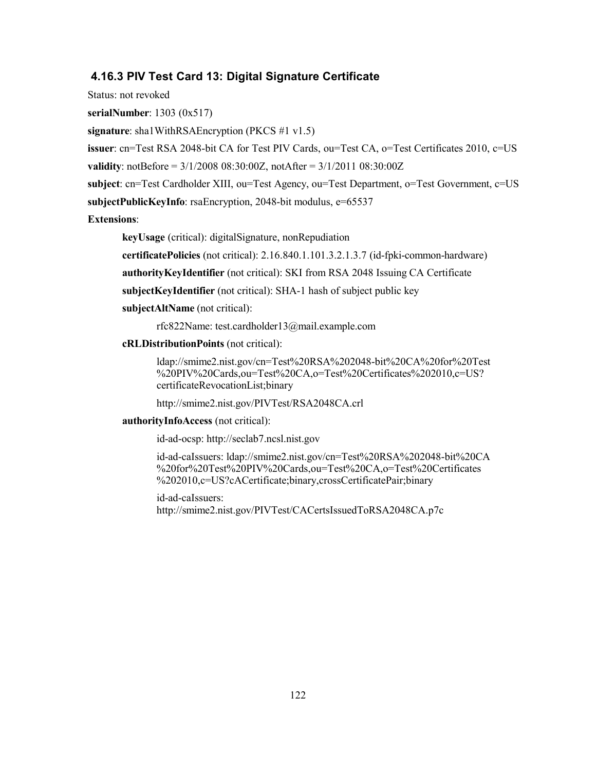### **4.16.3 PIV Test Card 13: Digital Signature Certificate**

Status: not revoked

**serialNumber**: 1303 (0x517)

**signature**: sha1WithRSAEncryption (PKCS #1 v1.5)

**issuer**: [cn=Test RSA 2048-bit CA for Test PIV Cards, ou=Test CA, o=Test Certificates 2010, c=US](#page-23-0) 

```
 
validity: notBefore = 3/1/2008 08:30:00Z, notAfter = 3/1/2011 08:30:00Z
```
**subject**: cn=Test Cardholder XIII, ou=Test Agency, ou=Test Department, o=Test Government, c=US

**subjectPublicKeyInfo**: rsaEncryption, 2048-bit modulus, e=65537

**Extensions**:

**keyUsage** (critical): digitalSignature, nonRepudiation

**certificatePolicies** (not critical): 2.16.840.1.101.3.2.1.3.7 (id-fpki-common-hardware)

**authorityKeyIdentifier** (not critical): SKI from RSA 2048 Issuing CA Certificate

**subjectKeyIdentifier** (not critical): SHA-1 hash of subject public key

**subjectAltName** (not critical):

rfc822Name: test.cardholder13@mail.example.com

#### **cRLDistributionPoints** (not critical):

ldap://smime2.nist.gov/cn=Test%20RSA%202048-bit%20CA%20for%20Test %20PIV%20Cards,ou=Test%20CA,o=Test%20Certificates%202010,c=US? certificateRevocationList;binary

http://smime2.nist.gov/PIVTest/RSA2048CA.crl

#### **authorityInfoAccess** (not critical):

id-ad-ocsp: http://seclab7.ncsl.nist.gov

id-ad-caIssuers: ldap://smime2.nist.gov/cn=Test%20RSA%202048-bit%20CA %20for%20Test%20PIV%20Cards,ou=Test%20CA,o=Test%20Certificates %202010,c=US?cACertificate;binary,crossCertificatePair;binary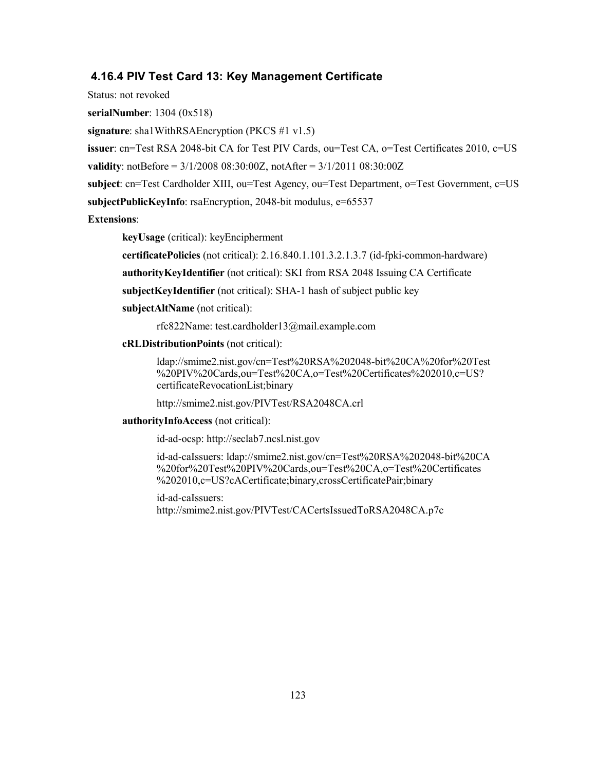### **4.16.4 PIV Test Card 13: Key Management Certificate**

Status: not revoked

**serialNumber**: 1304 (0x518)

**signature**: sha1WithRSAEncryption (PKCS #1 v1.5)

**issuer**: [cn=Test RSA 2048-bit CA for Test PIV Cards, ou=Test CA, o=Test Certificates 2010, c=US](#page-23-0) 

```
 
validity: notBefore = 3/1/2008 08:30:00Z, notAfter = 3/1/2011 08:30:00Z
```
 **subject**: cn=Test Cardholder XIII, ou=Test Agency, ou=Test Department, o=Test Government, c=US **subjectPublicKeyInfo**: rsaEncryption, 2048-bit modulus, e=65537

**Extensions**:

**keyUsage** (critical): keyEncipherment

**certificatePolicies** (not critical): 2.16.840.1.101.3.2.1.3.7 (id-fpki-common-hardware)

**authorityKeyIdentifier** (not critical): SKI from RSA 2048 Issuing CA Certificate

**subjectKeyIdentifier** (not critical): SHA-1 hash of subject public key

**subjectAltName** (not critical):

rfc822Name: test.cardholder13@mail.example.com

### **cRLDistributionPoints** (not critical):

ldap://smime2.nist.gov/cn=Test%20RSA%202048-bit%20CA%20for%20Test %20PIV%20Cards,ou=Test%20CA,o=Test%20Certificates%202010,c=US? certificateRevocationList;binary

http://smime2.nist.gov/PIVTest/RSA2048CA.crl

#### **authorityInfoAccess** (not critical):

id-ad-ocsp: http://seclab7.ncsl.nist.gov

id-ad-caIssuers: ldap://smime2.nist.gov/cn=Test%20RSA%202048-bit%20CA %20for%20Test%20PIV%20Cards,ou=Test%20CA,o=Test%20Certificates %202010,c=US?cACertificate;binary,crossCertificatePair;binary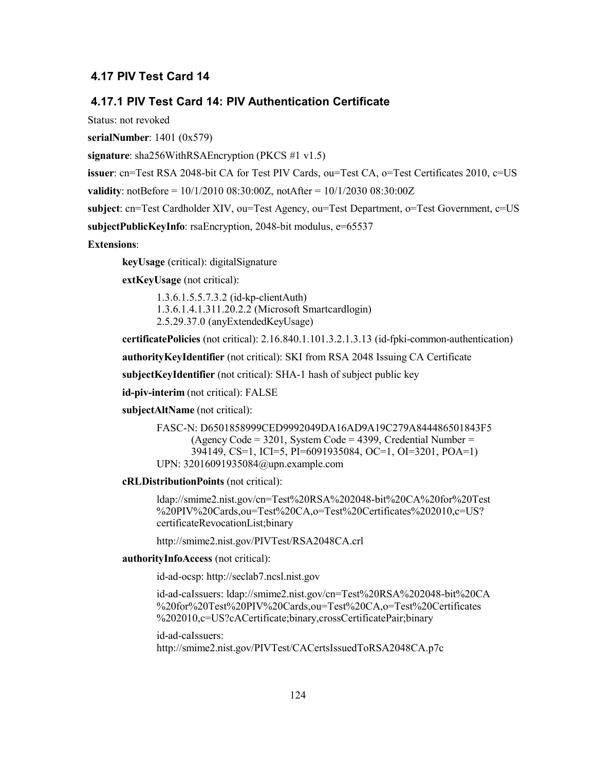## **4.17 PIV Test Card 14**

### **4.17.1 PIV Test Card 14: PIV Authentication Certificate**

Status: not revoked

**serialNumber**: 1401 (0x579)

**signature**: sha256WithRSAEncryption (PKCS #1 v1.5)

**issuer**: [cn=Test RSA 2048-bit CA for Test PIV Cards, ou=Test CA, o=Test Certificates 2010, c=US](#page-23-0) 

**validity**: notBefore = 10/1/2010 08:30:00Z, notAfter = 10/1/2030 08:30:00Z

**subject**: cn=Test Cardholder XIV, ou=Test Agency, ou=Test Department, o=Test Government, c=US

**subjectPublicKeyInfo**: rsaEncryption, 2048-bit modulus, e=65537

**Extensions**:

**keyUsage** (critical): digitalSignature

**extKeyUsage** (not critical):

 1.3.6.1.4.1.311.20.2.2 (Microsoft Smartcardlogin) 1.3.6.1.5.5.7.3.2 (id-kp-clientAuth) 2.5.29.37.0 (anyExtendedKeyUsage)

**certificatePolicies** (not critical): 2.16.840.1.101.3.2.1.3.13 (id-fpki-common-authentication)

**authorityKeyIdentifier** (not critical): SKI from RSA 2048 Issuing CA Certificate

**subjectKeyIdentifier** (not critical): SHA-1 hash of subject public key

**id-piv-interim** (not critical): FALSE

**subjectAltName** (not critical):

```
 
(Agency Code = 3201, System Code = 4399, Credential Number = 

394149, CS=1, ICI=5, PI=6091935084, OC=1, OI=3201, POA=1) 
FASC-N: D6501858999CED9992049DA16AD9A19C279A844486501843F5 
UPN: 32016091935084@upn.example.com
```
**cRLDistributionPoints** (not critical):

ldap://smime2.nist.gov/cn=Test%20RSA%202048-bit%20CA%20for%20Test %20PIV%20Cards,ou=Test%20CA,o=Test%20Certificates%202010,c=US? certificateRevocationList;binary

http://smime2.nist.gov/PIVTest/RSA2048CA.crl

**authorityInfoAccess** (not critical):

id-ad-ocsp: http://seclab7.ncsl.nist.gov

id-ad-caIssuers: ldap://smime2.nist.gov/cn=Test%20RSA%202048-bit%20CA %20for%20Test%20PIV%20Cards,ou=Test%20CA,o=Test%20Certificates %202010,c=US?cACertificate;binary,crossCertificatePair;binary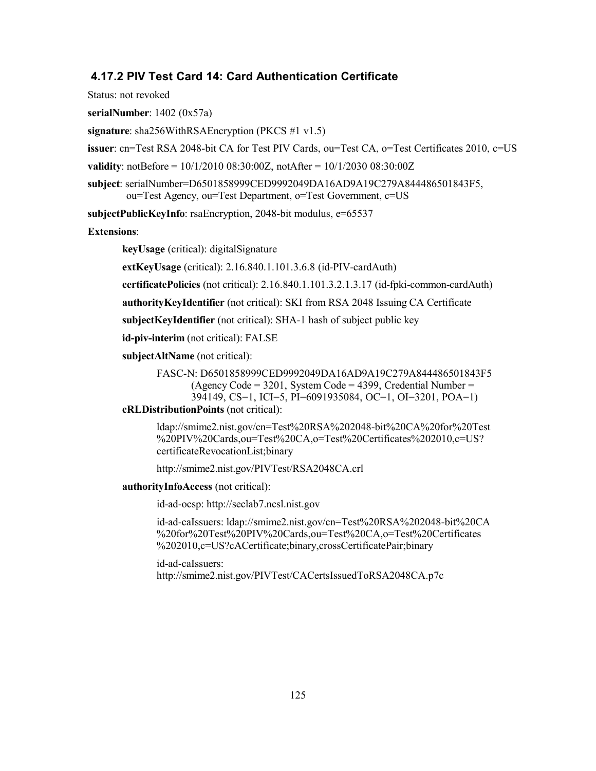### **4.17.2 PIV Test Card 14: Card Authentication Certificate**

Status: not revoked

**serialNumber**: 1402 (0x57a)

**signature**: sha256WithRSAEncryption (PKCS #1 v1.5)

**issuer**: [cn=Test RSA 2048-bit CA for Test PIV Cards, ou=Test CA, o=Test Certificates 2010, c=US](#page-23-0)

**validity**: notBefore = 10/1/2010 08:30:00Z, notAfter = 10/1/2030 08:30:00Z

 ou=Test Agency, ou=Test Department, o=Test Government, c=US **subject**: serialNumber=D6501858999CED9992049DA16AD9A19C279A844486501843F5,

**subjectPublicKeyInfo**: rsaEncryption, 2048-bit modulus, e=65537

#### **Extensions**:

**keyUsage** (critical): digitalSignature

**extKeyUsage** (critical): 2.16.840.1.101.3.6.8 (id-PIV-cardAuth)

**certificatePolicies** (not critical): 2.16.840.1.101.3.2.1.3.17 (id-fpki-common-cardAuth)

**authorityKeyIdentifier** (not critical): SKI from RSA 2048 Issuing CA Certificate

**subjectKeyIdentifier** (not critical): SHA-1 hash of subject public key

**id-piv-interim** (not critical): FALSE

**subjectAltName** (not critical):

 (Agency Code = 3201, System Code = 4399, Credential Number = 394149, CS=1, ICI=5, PI=6091935084, OC=1, OI=3201, POA=1) FASC-N: D6501858999CED9992049DA16AD9A19C279A844486501843F5

### **cRLDistributionPoints** (not critical):

ldap://smime2.nist.gov/cn=Test%20RSA%202048-bit%20CA%20for%20Test %20PIV%20Cards,ou=Test%20CA,o=Test%20Certificates%202010,c=US? certificateRevocationList;binary

http://smime2.nist.gov/PIVTest/RSA2048CA.crl

#### **authorityInfoAccess** (not critical):

id-ad-ocsp: http://seclab7.ncsl.nist.gov

id-ad-caIssuers: ldap://smime2.nist.gov/cn=Test%20RSA%202048-bit%20CA %20for%20Test%20PIV%20Cards,ou=Test%20CA,o=Test%20Certificates %202010,c=US?cACertificate;binary,crossCertificatePair;binary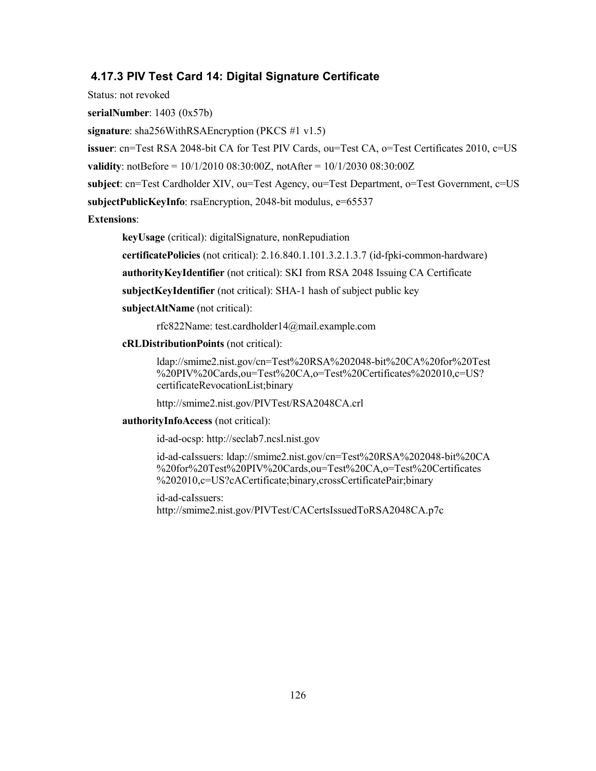### **4.17.3 PIV Test Card 14: Digital Signature Certificate**

Status: not revoked

**serialNumber**: 1403 (0x57b)

**signature**: sha256WithRSAEncryption (PKCS #1 v1.5)

**issuer**: [cn=Test RSA 2048-bit CA for Test PIV Cards, ou=Test CA, o=Test Certificates 2010, c=US](#page-23-0) 

```
 
validity: notBefore = 10/1/2010 08:30:00Z, notAfter = 10/1/2030 08:30:00Z
```
**subject**: cn=Test Cardholder XIV, ou=Test Agency, ou=Test Department, o=Test Government, c=US

**subjectPublicKeyInfo**: rsaEncryption, 2048-bit modulus, e=65537

**Extensions**:

**keyUsage** (critical): digitalSignature, nonRepudiation

**certificatePolicies** (not critical): 2.16.840.1.101.3.2.1.3.7 (id-fpki-common-hardware)

**authorityKeyIdentifier** (not critical): SKI from RSA 2048 Issuing CA Certificate

**subjectKeyIdentifier** (not critical): SHA-1 hash of subject public key

**subjectAltName** (not critical):

rfc822Name: test.cardholder14@mail.example.com

### **cRLDistributionPoints** (not critical):

ldap://smime2.nist.gov/cn=Test%20RSA%202048-bit%20CA%20for%20Test %20PIV%20Cards,ou=Test%20CA,o=Test%20Certificates%202010,c=US? certificateRevocationList;binary

http://smime2.nist.gov/PIVTest/RSA2048CA.crl

#### **authorityInfoAccess** (not critical):

id-ad-ocsp: http://seclab7.ncsl.nist.gov

id-ad-caIssuers: ldap://smime2.nist.gov/cn=Test%20RSA%202048-bit%20CA %20for%20Test%20PIV%20Cards,ou=Test%20CA,o=Test%20Certificates %202010,c=US?cACertificate;binary,crossCertificatePair;binary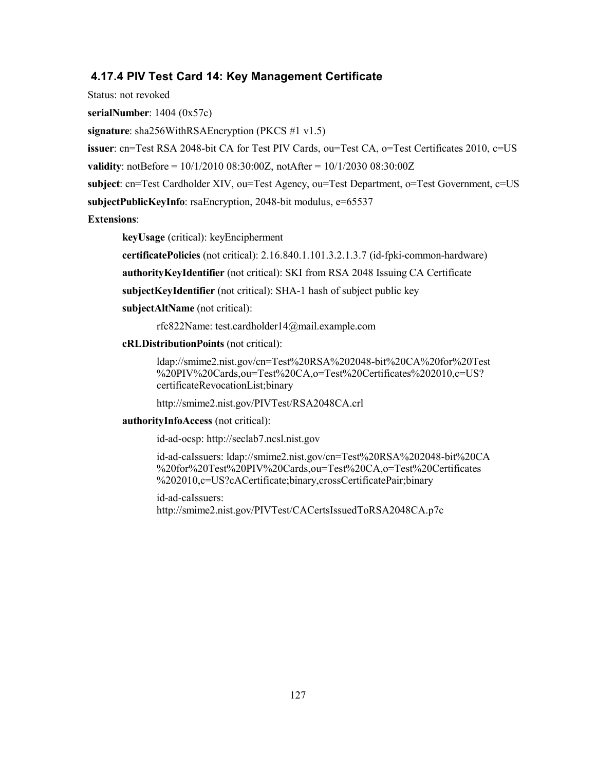### **4.17.4 PIV Test Card 14: Key Management Certificate**

Status: not revoked

**serialNumber**: 1404 (0x57c)

**signature**: sha256WithRSAEncryption (PKCS #1 v1.5)

**issuer**: [cn=Test RSA 2048-bit CA for Test PIV Cards, ou=Test CA, o=Test Certificates 2010, c=US](#page-23-0) 

```
 
validity: notBefore = 10/1/2010 08:30:00Z, notAfter = 10/1/2030 08:30:00Z
```

```
 
subject: cn=Test Cardholder XIV, ou=Test Agency, ou=Test Department, o=Test Government, c=US 

subjectPublicKeyInfo: rsaEncryption, 2048-bit modulus, e=65537
```
**Extensions**:

**keyUsage** (critical): keyEncipherment

**certificatePolicies** (not critical): 2.16.840.1.101.3.2.1.3.7 (id-fpki-common-hardware)

**authorityKeyIdentifier** (not critical): SKI from RSA 2048 Issuing CA Certificate

**subjectKeyIdentifier** (not critical): SHA-1 hash of subject public key

**subjectAltName** (not critical):

rfc822Name: test.cardholder14@mail.example.com

#### **cRLDistributionPoints** (not critical):

ldap://smime2.nist.gov/cn=Test%20RSA%202048-bit%20CA%20for%20Test %20PIV%20Cards,ou=Test%20CA,o=Test%20Certificates%202010,c=US? certificateRevocationList;binary

http://smime2.nist.gov/PIVTest/RSA2048CA.crl

#### **authorityInfoAccess** (not critical):

id-ad-ocsp: http://seclab7.ncsl.nist.gov

id-ad-caIssuers: ldap://smime2.nist.gov/cn=Test%20RSA%202048-bit%20CA %20for%20Test%20PIV%20Cards,ou=Test%20CA,o=Test%20Certificates %202010,c=US?cACertificate;binary,crossCertificatePair;binary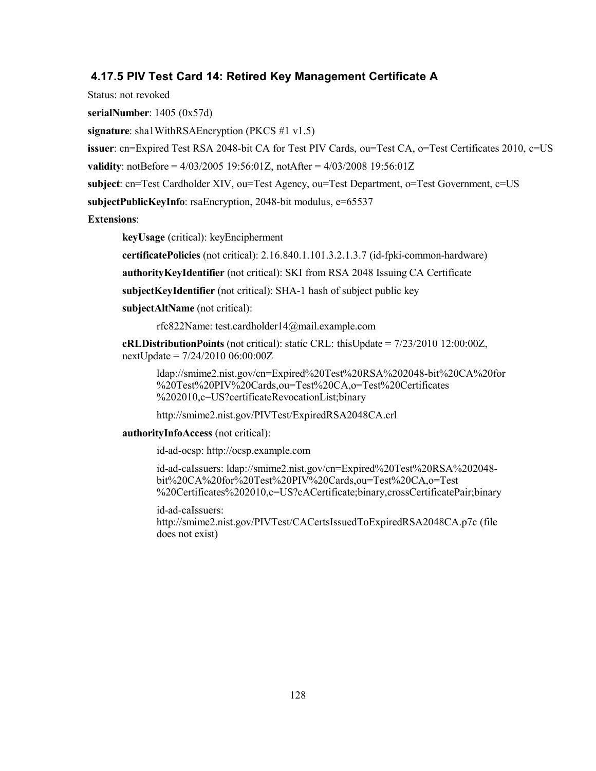### **4.17.5 PIV Test Card 14: Retired Key Management Certificate A**

Status: not revoked

**serialNumber**: 1405 (0x57d)

**signature**: sha1WithRSAEncryption (PKCS #1 v1.5)

**issuer**: [cn=Expired Test RSA 2048-bit CA for Test PIV Cards, ou=Test CA, o=Test Certificates 2010, c=US](#page-27-0) 

**validity**: notBefore = 4/03/2005 19:56:01Z, notAfter = 4/03/2008 19:56:01Z

**subject**: cn=Test Cardholder XIV, ou=Test Agency, ou=Test Department, o=Test Government, c=US

**subjectPublicKeyInfo**: rsaEncryption, 2048-bit modulus, e=65537

**Extensions**:

**keyUsage** (critical): keyEncipherment

**certificatePolicies** (not critical): 2.16.840.1.101.3.2.1.3.7 (id-fpki-common-hardware)

**authorityKeyIdentifier** (not critical): SKI from RSA 2048 Issuing CA Certificate

**subjectKeyIdentifier** (not critical): SHA-1 hash of subject public key

**subjectAltName** (not critical):

rfc822Name: test.cardholder14@mail.example.com

 **cRLDistributionPoints** (not critical): static CRL: thisUpdate = 7/23/2010 12:00:00Z, nextUpdate = 7/24/2010 06:00:00Z

ldap://smime2.nist.gov/cn=Expired%20Test%20RSA%202048-bit%20CA%20for %20Test%20PIV%20Cards,ou=Test%20CA,o=Test%20Certificates %202010,c=US?certificateRevocationList;binary

http://smime2.nist.gov/PIVTest/ExpiredRSA2048CA.crl

### **authorityInfoAccess** (not critical):

id-ad-ocsp: http://ocsp.example.com

id-ad-caIssuers: ldap://smime2.nist.gov/cn=Expired%20Test%20RSA%202048 bit%20CA%20for%20Test%20PIV%20Cards,ou=Test%20CA,o=Test %20Certificates%202010,c=US?cACertificate;binary,crossCertificatePair;binary

id-ad-caIssuers: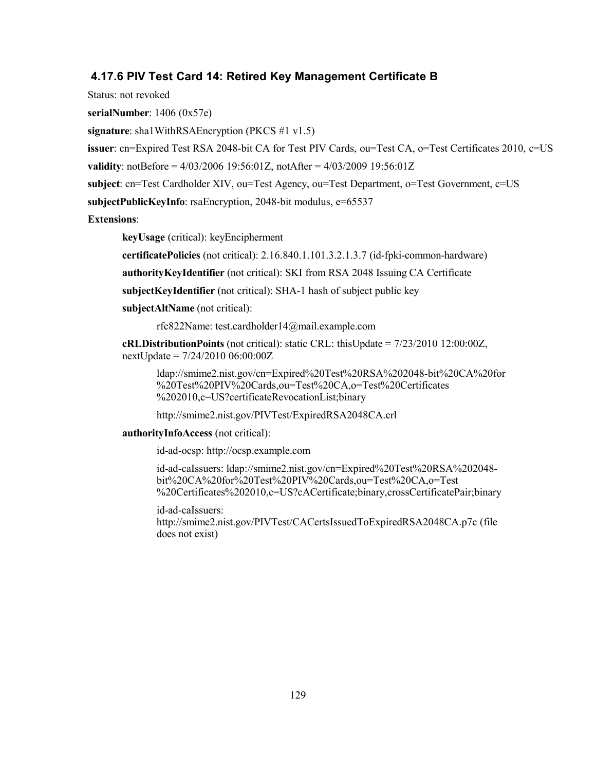### **4.17.6 PIV Test Card 14: Retired Key Management Certificate B**

Status: not revoked

**serialNumber**: 1406 (0x57e)

**signature**: sha1WithRSAEncryption (PKCS #1 v1.5)

**issuer**: [cn=Expired Test RSA 2048-bit CA for Test PIV Cards, ou=Test CA, o=Test Certificates 2010, c=US](#page-27-0) 

```
 
validity: notBefore = 4/03/2006 19:56:01Z, notAfter = 4/03/2009 19:56:01Z
```
**subject**: cn=Test Cardholder XIV, ou=Test Agency, ou=Test Department, o=Test Government, c=US

**subjectPublicKeyInfo**: rsaEncryption, 2048-bit modulus, e=65537

**Extensions**:

**keyUsage** (critical): keyEncipherment

**certificatePolicies** (not critical): 2.16.840.1.101.3.2.1.3.7 (id-fpki-common-hardware)

**authorityKeyIdentifier** (not critical): SKI from RSA 2048 Issuing CA Certificate

**subjectKeyIdentifier** (not critical): SHA-1 hash of subject public key

**subjectAltName** (not critical):

rfc822Name: test.cardholder14@mail.example.com

 **cRLDistributionPoints** (not critical): static CRL: thisUpdate = 7/23/2010 12:00:00Z, nextUpdate = 7/24/2010 06:00:00Z

ldap://smime2.nist.gov/cn=Expired%20Test%20RSA%202048-bit%20CA%20for %20Test%20PIV%20Cards,ou=Test%20CA,o=Test%20Certificates %202010,c=US?certificateRevocationList;binary

http://smime2.nist.gov/PIVTest/ExpiredRSA2048CA.crl

### **authorityInfoAccess** (not critical):

id-ad-ocsp: http://ocsp.example.com

id-ad-caIssuers: ldap://smime2.nist.gov/cn=Expired%20Test%20RSA%202048 bit%20CA%20for%20Test%20PIV%20Cards,ou=Test%20CA,o=Test %20Certificates%202010,c=US?cACertificate;binary,crossCertificatePair;binary

id-ad-caIssuers: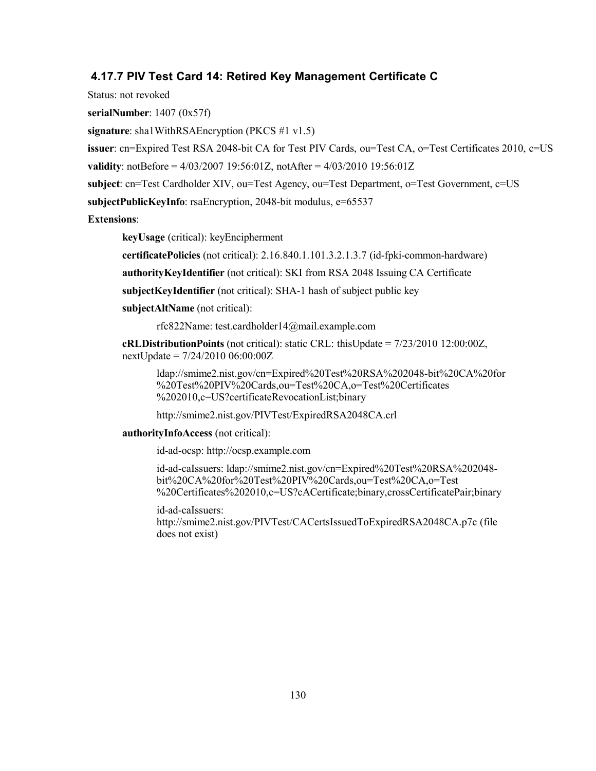### **4.17.7 PIV Test Card 14: Retired Key Management Certificate C**

Status: not revoked

**serialNumber**: 1407 (0x57f)

**signature**: sha1WithRSAEncryption (PKCS #1 v1.5)

**issuer**: [cn=Expired Test RSA 2048-bit CA for Test PIV Cards, ou=Test CA, o=Test Certificates 2010, c=US](#page-27-0) 

**validity**: notBefore = 4/03/2007 19:56:01Z, notAfter = 4/03/2010 19:56:01Z

**subject**: cn=Test Cardholder XIV, ou=Test Agency, ou=Test Department, o=Test Government, c=US

**subjectPublicKeyInfo**: rsaEncryption, 2048-bit modulus, e=65537

**Extensions**:

**keyUsage** (critical): keyEncipherment

**certificatePolicies** (not critical): 2.16.840.1.101.3.2.1.3.7 (id-fpki-common-hardware)

**authorityKeyIdentifier** (not critical): SKI from RSA 2048 Issuing CA Certificate

**subjectKeyIdentifier** (not critical): SHA-1 hash of subject public key

**subjectAltName** (not critical):

rfc822Name: test.cardholder14@mail.example.com

 **cRLDistributionPoints** (not critical): static CRL: thisUpdate = 7/23/2010 12:00:00Z, nextUpdate = 7/24/2010 06:00:00Z

ldap://smime2.nist.gov/cn=Expired%20Test%20RSA%202048-bit%20CA%20for %20Test%20PIV%20Cards,ou=Test%20CA,o=Test%20Certificates %202010,c=US?certificateRevocationList;binary

http://smime2.nist.gov/PIVTest/ExpiredRSA2048CA.crl

### **authorityInfoAccess** (not critical):

id-ad-ocsp: http://ocsp.example.com

id-ad-caIssuers: ldap://smime2.nist.gov/cn=Expired%20Test%20RSA%202048 bit%20CA%20for%20Test%20PIV%20Cards,ou=Test%20CA,o=Test %20Certificates%202010,c=US?cACertificate;binary,crossCertificatePair;binary

id-ad-caIssuers: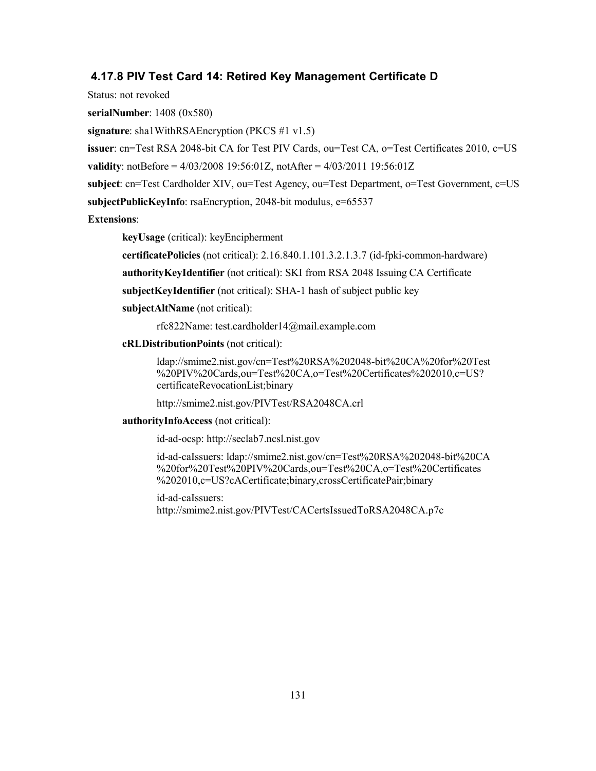### **4.17.8 PIV Test Card 14: Retired Key Management Certificate D**

```
 
Status: not revoked
```
**serialNumber**: 1408 (0x580)

**signature**: sha1WithRSAEncryption (PKCS #1 v1.5)

**issuer**: [cn=Test RSA 2048-bit CA for Test PIV Cards, ou=Test CA, o=Test Certificates 2010, c=US](#page-23-0) 

```
 
validity: notBefore = 4/03/2008 19:56:01Z, notAfter = 4/03/2011 19:56:01Z
```

```
 
subject: cn=Test Cardholder XIV, ou=Test Agency, ou=Test Department, o=Test Government, c=US 

subjectPublicKeyInfo: rsaEncryption, 2048-bit modulus, e=65537
```
**Extensions**:

**keyUsage** (critical): keyEncipherment

**certificatePolicies** (not critical): 2.16.840.1.101.3.2.1.3.7 (id-fpki-common-hardware)

**authorityKeyIdentifier** (not critical): SKI from RSA 2048 Issuing CA Certificate

**subjectKeyIdentifier** (not critical): SHA-1 hash of subject public key

**subjectAltName** (not critical):

rfc822Name: test.cardholder14@mail.example.com

#### **cRLDistributionPoints** (not critical):

ldap://smime2.nist.gov/cn=Test%20RSA%202048-bit%20CA%20for%20Test %20PIV%20Cards,ou=Test%20CA,o=Test%20Certificates%202010,c=US? certificateRevocationList;binary

http://smime2.nist.gov/PIVTest/RSA2048CA.crl

#### **authorityInfoAccess** (not critical):

id-ad-ocsp: http://seclab7.ncsl.nist.gov

id-ad-caIssuers: ldap://smime2.nist.gov/cn=Test%20RSA%202048-bit%20CA %20for%20Test%20PIV%20Cards,ou=Test%20CA,o=Test%20Certificates %202010,c=US?cACertificate;binary,crossCertificatePair;binary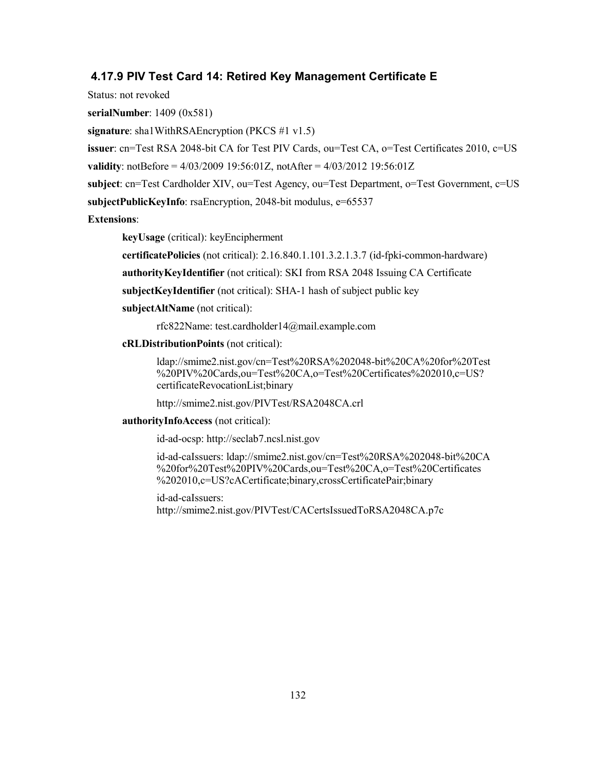### **4.17.9 PIV Test Card 14: Retired Key Management Certificate E**

Status: not revoked

**serialNumber**: 1409 (0x581)

**signature**: sha1WithRSAEncryption (PKCS #1 v1.5)

**issuer**: [cn=Test RSA 2048-bit CA for Test PIV Cards, ou=Test CA, o=Test Certificates 2010, c=US](#page-23-0) 

```
 
validity: notBefore = 4/03/2009 19:56:01Z, notAfter = 4/03/2012 19:56:01Z
```

```
 
subject: cn=Test Cardholder XIV, ou=Test Agency, ou=Test Department, o=Test Government, c=US 

subjectPublicKeyInfo: rsaEncryption, 2048-bit modulus, e=65537
```
**Extensions**:

**keyUsage** (critical): keyEncipherment

**certificatePolicies** (not critical): 2.16.840.1.101.3.2.1.3.7 (id-fpki-common-hardware)

**authorityKeyIdentifier** (not critical): SKI from RSA 2048 Issuing CA Certificate

**subjectKeyIdentifier** (not critical): SHA-1 hash of subject public key

**subjectAltName** (not critical):

rfc822Name: test.cardholder14@mail.example.com

#### **cRLDistributionPoints** (not critical):

ldap://smime2.nist.gov/cn=Test%20RSA%202048-bit%20CA%20for%20Test %20PIV%20Cards,ou=Test%20CA,o=Test%20Certificates%202010,c=US? certificateRevocationList;binary

http://smime2.nist.gov/PIVTest/RSA2048CA.crl

#### **authorityInfoAccess** (not critical):

id-ad-ocsp: http://seclab7.ncsl.nist.gov

id-ad-caIssuers: ldap://smime2.nist.gov/cn=Test%20RSA%202048-bit%20CA %20for%20Test%20PIV%20Cards,ou=Test%20CA,o=Test%20Certificates %202010,c=US?cACertificate;binary,crossCertificatePair;binary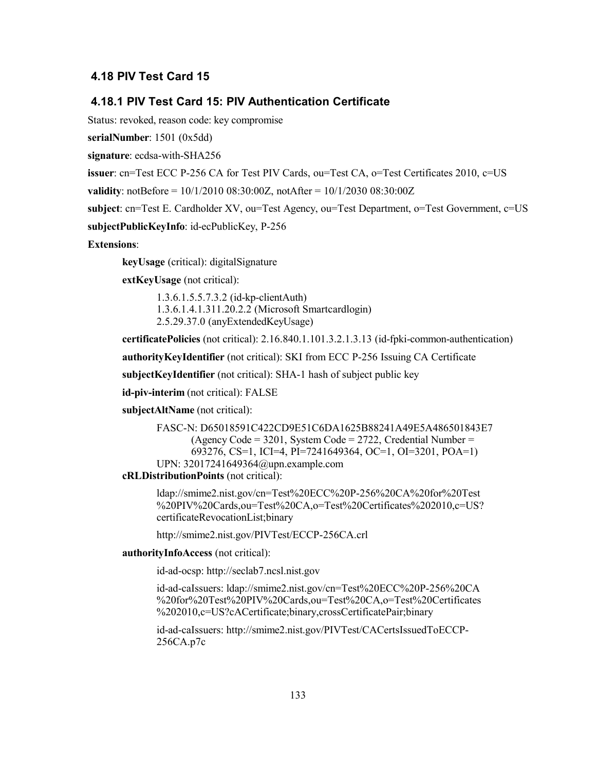## **4.18 PIV Test Card 15**

## **4.18.1 PIV Test Card 15: PIV Authentication Certificate**

Status: revoked, reason code: key compromise

**serialNumber**: 1501 (0x5dd)

**signature**: ecdsa-with-SHA256

**issuer**: [cn=Test ECC P-256 CA for Test PIV Cards, ou=Test CA, o=Test Certificates 2010, c=US](#page-25-0) 

**validity**: notBefore = 10/1/2010 08:30:00Z, notAfter = 10/1/2030 08:30:00Z

**subject**: cn=Test E. Cardholder XV, ou=Test Agency, ou=Test Department, o=Test Government, c=US

**subjectPublicKeyInfo**: id-ecPublicKey, P-256

**Extensions**:

**keyUsage** (critical): digitalSignature

**extKeyUsage** (not critical):

 1.3.6.1.4.1.311.20.2.2 (Microsoft Smartcardlogin) 1.3.6.1.5.5.7.3.2 (id-kp-clientAuth) 2.5.29.37.0 (anyExtendedKeyUsage)

**certificatePolicies** (not critical): 2.16.840.1.101.3.2.1.3.13 (id-fpki-common-authentication)

**authorityKeyIdentifier** (not critical): SKI from ECC P-256 Issuing CA Certificate

**subjectKeyIdentifier** (not critical): SHA-1 hash of subject public key

**id-piv-interim** (not critical): FALSE

**subjectAltName** (not critical):

```
 
(Agency Code = 3201, System Code = 2722, Credential Number = 

693276, CS=1, ICI=4, PI=7241649364, OC=1, OI=3201, POA=1) 
FASC-N: D65018591C422CD9E51C6DA1625B88241A49E5A486501843E7 
UPN: 32017241649364@upn.example.com
```
**cRLDistributionPoints** (not critical):

ldap://smime2.nist.gov/cn=Test%20ECC%20P-256%20CA%20for%20Test %20PIV%20Cards,ou=Test%20CA,o=Test%20Certificates%202010,c=US? certificateRevocationList;binary

http://smime2.nist.gov/PIVTest/ECCP-256CA.crl

**authorityInfoAccess** (not critical):

id-ad-ocsp: http://seclab7.ncsl.nist.gov

id-ad-caIssuers: ldap://smime2.nist.gov/cn=Test%20ECC%20P-256%20CA %20for%20Test%20PIV%20Cards,ou=Test%20CA,o=Test%20Certificates %202010,c=US?cACertificate;binary,crossCertificatePair;binary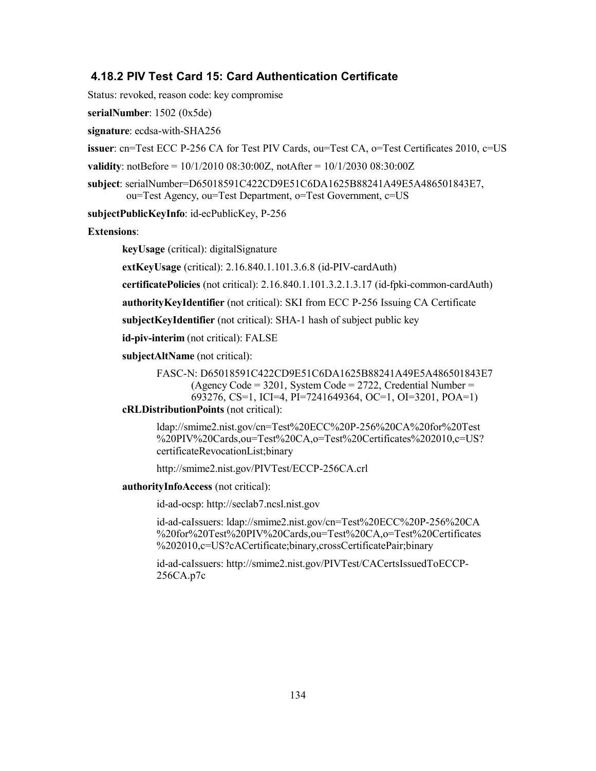### **4.18.2 PIV Test Card 15: Card Authentication Certificate**

Status: revoked, reason code: key compromise

**serialNumber**: 1502 (0x5de)

**signature**: ecdsa-with-SHA256

**issuer**: [cn=Test ECC P-256 CA for Test PIV Cards, ou=Test CA, o=Test Certificates 2010, c=US](#page-25-0) 

**validity**: notBefore = 10/1/2010 08:30:00Z, notAfter = 10/1/2030 08:30:00Z

 ou=Test Agency, ou=Test Department, o=Test Government, c=US **subject**: serialNumber=D65018591C422CD9E51C6DA1625B88241A49E5A486501843E7,

**subjectPublicKeyInfo**: id-ecPublicKey, P-256

**Extensions**:

**keyUsage** (critical): digitalSignature

**extKeyUsage** (critical): 2.16.840.1.101.3.6.8 (id-PIV-cardAuth)

**certificatePolicies** (not critical): 2.16.840.1.101.3.2.1.3.17 (id-fpki-common-cardAuth)

**authorityKeyIdentifier** (not critical): SKI from ECC P-256 Issuing CA Certificate

**subjectKeyIdentifier** (not critical): SHA-1 hash of subject public key

**id-piv-interim** (not critical): FALSE

**subjectAltName** (not critical):

 (Agency Code = 3201, System Code = 2722, Credential Number = 693276, CS=1, ICI=4, PI=7241649364, OC=1, OI=3201, POA=1) FASC-N: D65018591C422CD9E51C6DA1625B88241A49E5A486501843E7

### **cRLDistributionPoints** (not critical):

ldap://smime2.nist.gov/cn=Test%20ECC%20P-256%20CA%20for%20Test %20PIV%20Cards,ou=Test%20CA,o=Test%20Certificates%202010,c=US? certificateRevocationList;binary

http://smime2.nist.gov/PIVTest/ECCP-256CA.crl

#### **authorityInfoAccess** (not critical):

id-ad-ocsp: http://seclab7.ncsl.nist.gov

id-ad-caIssuers: ldap://smime2.nist.gov/cn=Test%20ECC%20P-256%20CA %20for%20Test%20PIV%20Cards,ou=Test%20CA,o=Test%20Certificates %202010,c=US?cACertificate;binary,crossCertificatePair;binary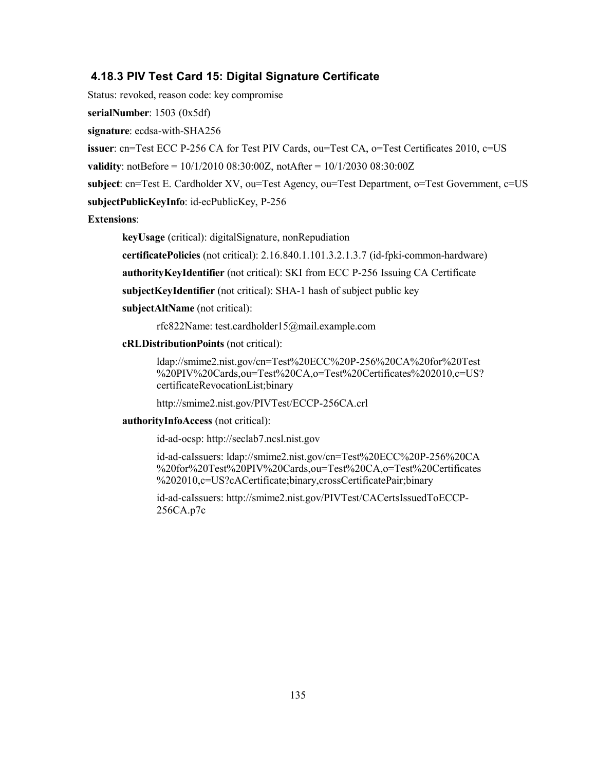### **4.18.3 PIV Test Card 15: Digital Signature Certificate**

Status: revoked, reason code: key compromise

**serialNumber**: 1503 (0x5df)

**signature**: ecdsa-with-SHA256

**issuer**: [cn=Test ECC P-256 CA for Test PIV Cards, ou=Test CA, o=Test Certificates 2010, c=US](#page-25-0) 

**validity**: notBefore = 10/1/2010 08:30:00Z, notAfter = 10/1/2030 08:30:00Z

```
 
subject: cn=Test E. Cardholder XV, ou=Test Agency, ou=Test Department, o=Test Government, c=US
```
**subjectPublicKeyInfo**: id-ecPublicKey, P-256

**Extensions**:

**keyUsage** (critical): digitalSignature, nonRepudiation

**certificatePolicies** (not critical): 2.16.840.1.101.3.2.1.3.7 (id-fpki-common-hardware)

**authorityKeyIdentifier** (not critical): SKI from ECC P-256 Issuing CA Certificate

**subjectKeyIdentifier** (not critical): SHA-1 hash of subject public key

**subjectAltName** (not critical):

rfc822Name: test.cardholder15@mail.example.com

### **cRLDistributionPoints** (not critical):

ldap://smime2.nist.gov/cn=Test%20ECC%20P-256%20CA%20for%20Test %20PIV%20Cards,ou=Test%20CA,o=Test%20Certificates%202010,c=US? certificateRevocationList;binary

http://smime2.nist.gov/PIVTest/ECCP-256CA.crl

#### **authorityInfoAccess** (not critical):

id-ad-ocsp: http://seclab7.ncsl.nist.gov

id-ad-caIssuers: ldap://smime2.nist.gov/cn=Test%20ECC%20P-256%20CA %20for%20Test%20PIV%20Cards,ou=Test%20CA,o=Test%20Certificates %202010,c=US?cACertificate;binary,crossCertificatePair;binary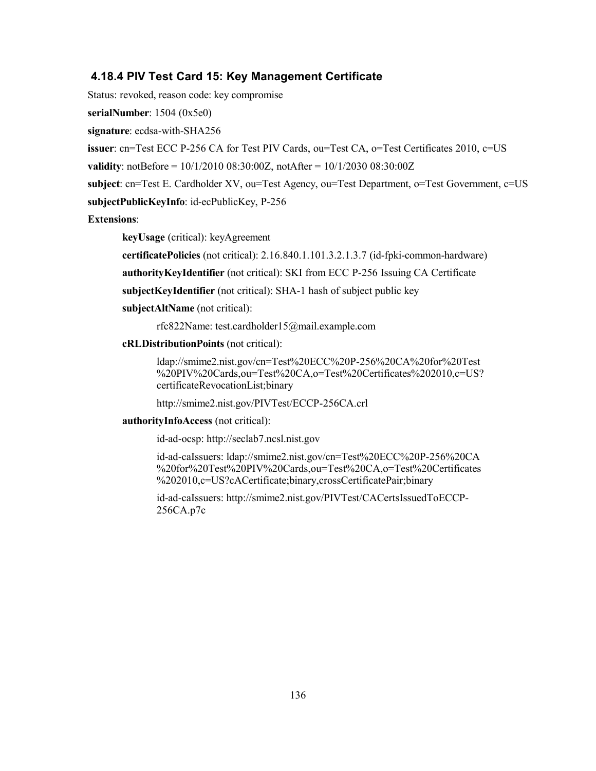### **4.18.4 PIV Test Card 15: Key Management Certificate**

Status: revoked, reason code: key compromise

**serialNumber**: 1504 (0x5e0)

**signature**: ecdsa-with-SHA256

**issuer**: [cn=Test ECC P-256 CA for Test PIV Cards, ou=Test CA, o=Test Certificates 2010, c=US](#page-25-0) 

**validity**: notBefore = 10/1/2010 08:30:00Z, notAfter = 10/1/2030 08:30:00Z

```
 
subject: cn=Test E. Cardholder XV, ou=Test Agency, ou=Test Department, o=Test Government, c=US
```
**subjectPublicKeyInfo**: id-ecPublicKey, P-256

**Extensions**:

**keyUsage** (critical): keyAgreement

**certificatePolicies** (not critical): 2.16.840.1.101.3.2.1.3.7 (id-fpki-common-hardware)

**authorityKeyIdentifier** (not critical): SKI from ECC P-256 Issuing CA Certificate

**subjectKeyIdentifier** (not critical): SHA-1 hash of subject public key

**subjectAltName** (not critical):

rfc822Name: test.cardholder15@mail.example.com

### **cRLDistributionPoints** (not critical):

ldap://smime2.nist.gov/cn=Test%20ECC%20P-256%20CA%20for%20Test %20PIV%20Cards,ou=Test%20CA,o=Test%20Certificates%202010,c=US? certificateRevocationList;binary

http://smime2.nist.gov/PIVTest/ECCP-256CA.crl

#### **authorityInfoAccess** (not critical):

id-ad-ocsp: http://seclab7.ncsl.nist.gov

id-ad-caIssuers: ldap://smime2.nist.gov/cn=Test%20ECC%20P-256%20CA %20for%20Test%20PIV%20Cards,ou=Test%20CA,o=Test%20Certificates %202010,c=US?cACertificate;binary,crossCertificatePair;binary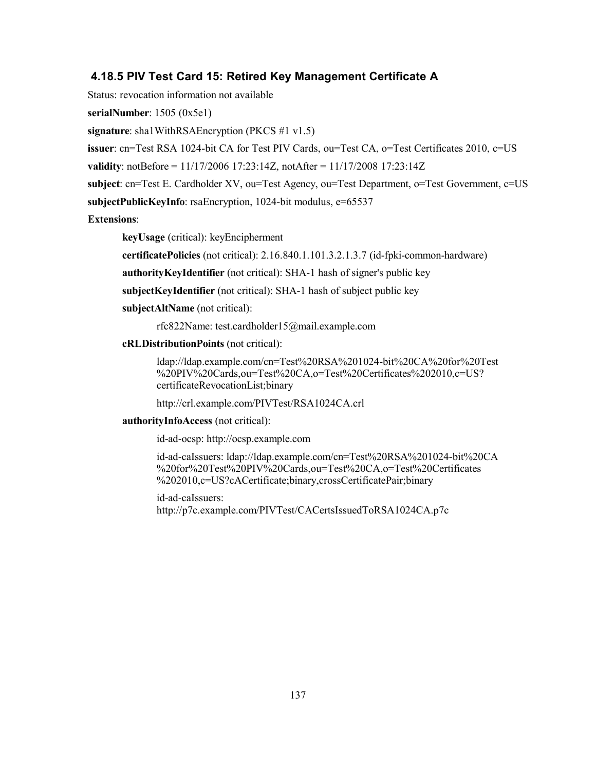### **4.18.5 PIV Test Card 15: Retired Key Management Certificate A**

Status: revocation information not available

**serialNumber**: 1505 (0x5e1)

**signature**: sha1WithRSAEncryption (PKCS #1 v1.5)

**issuer**: cn=Test RSA 1024-bit CA for Test PIV Cards, ou=Test CA, o=Test Certificates 2010, c=US

```
 
validity: notBefore = 11/17/2006 17:23:14Z, notAfter = 11/17/2008 17:23:14Z
```
**subject**: cn=Test E. Cardholder XV, ou=Test Agency, ou=Test Department, o=Test Government, c=US

**subjectPublicKeyInfo**: rsaEncryption, 1024-bit modulus, e=65537

**Extensions**:

**keyUsage** (critical): keyEncipherment

**certificatePolicies** (not critical): 2.16.840.1.101.3.2.1.3.7 (id-fpki-common-hardware)

**authorityKeyIdentifier** (not critical): SHA-1 hash of signer's public key

**subjectKeyIdentifier** (not critical): SHA-1 hash of subject public key

**subjectAltName** (not critical):

rfc822Name: test.cardholder15@mail.example.com

#### **cRLDistributionPoints** (not critical):

ldap://ldap.example.com/cn=Test%20RSA%201024-bit%20CA%20for%20Test %20PIV%20Cards,ou=Test%20CA,o=Test%20Certificates%202010,c=US? certificateRevocationList;binary

http://crl.example.com/PIVTest/RSA1024CA.crl

#### **authorityInfoAccess** (not critical):

id-ad-ocsp: http://ocsp.example.com

id-ad-caIssuers: ldap://ldap.example.com/cn=Test%20RSA%201024-bit%20CA %20for%20Test%20PIV%20Cards,ou=Test%20CA,o=Test%20Certificates %202010,c=US?cACertificate;binary,crossCertificatePair;binary

id-ad-caIssuers: http://p7c.example.com/PIVTest/CACertsIssuedToRSA1024CA.p7c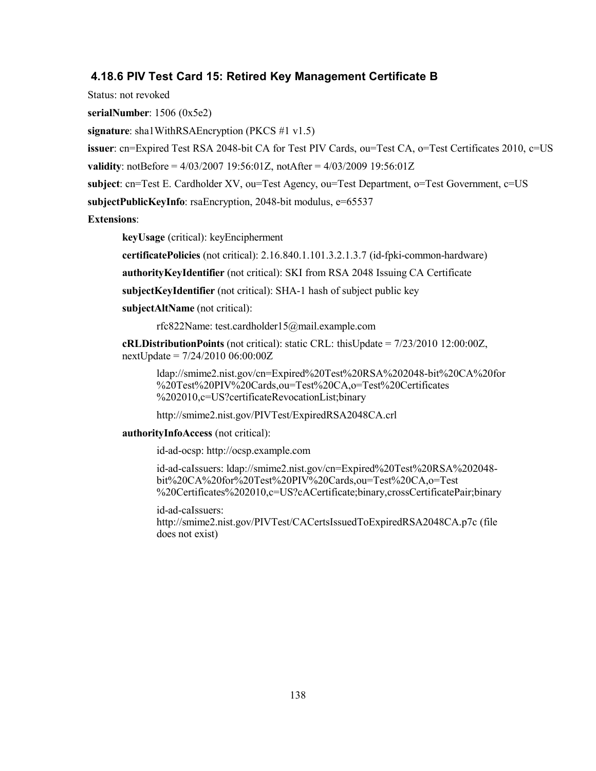### **4.18.6 PIV Test Card 15: Retired Key Management Certificate B**

Status: not revoked

**serialNumber**: 1506 (0x5e2)

**signature**: sha1WithRSAEncryption (PKCS #1 v1.5)

**issuer**: [cn=Expired Test RSA 2048-bit CA for Test PIV Cards, ou=Test CA, o=Test Certificates 2010, c=US](#page-27-0) 

```
 
validity: notBefore = 4/03/2007 19:56:01Z, notAfter = 4/03/2009 19:56:01Z
```
**subject**: cn=Test E. Cardholder XV, ou=Test Agency, ou=Test Department, o=Test Government, c=US

**subjectPublicKeyInfo**: rsaEncryption, 2048-bit modulus, e=65537

**Extensions**:

**keyUsage** (critical): keyEncipherment

**certificatePolicies** (not critical): 2.16.840.1.101.3.2.1.3.7 (id-fpki-common-hardware)

**authorityKeyIdentifier** (not critical): SKI from RSA 2048 Issuing CA Certificate

**subjectKeyIdentifier** (not critical): SHA-1 hash of subject public key

**subjectAltName** (not critical):

rfc822Name: test.cardholder15@mail.example.com

 **cRLDistributionPoints** (not critical): static CRL: thisUpdate = 7/23/2010 12:00:00Z, nextUpdate = 7/24/2010 06:00:00Z

ldap://smime2.nist.gov/cn=Expired%20Test%20RSA%202048-bit%20CA%20for %20Test%20PIV%20Cards,ou=Test%20CA,o=Test%20Certificates %202010,c=US?certificateRevocationList;binary

http://smime2.nist.gov/PIVTest/ExpiredRSA2048CA.crl

### **authorityInfoAccess** (not critical):

id-ad-ocsp: http://ocsp.example.com

id-ad-caIssuers: ldap://smime2.nist.gov/cn=Expired%20Test%20RSA%202048 bit%20CA%20for%20Test%20PIV%20Cards,ou=Test%20CA,o=Test %20Certificates%202010,c=US?cACertificate;binary,crossCertificatePair;binary

id-ad-caIssuers: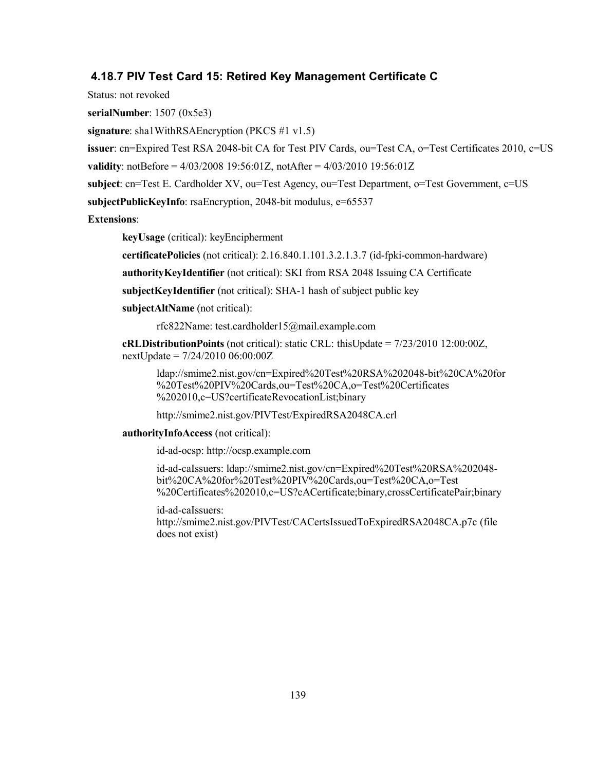### **4.18.7 PIV Test Card 15: Retired Key Management Certificate C**

Status: not revoked

**serialNumber**: 1507 (0x5e3)

**signature**: sha1WithRSAEncryption (PKCS #1 v1.5)

**issuer**: [cn=Expired Test RSA 2048-bit CA for Test PIV Cards, ou=Test CA, o=Test Certificates 2010, c=US](#page-27-0) 

**validity**: notBefore = 4/03/2008 19:56:01Z, notAfter = 4/03/2010 19:56:01Z

**subject**: cn=Test E. Cardholder XV, ou=Test Agency, ou=Test Department, o=Test Government, c=US

**subjectPublicKeyInfo**: rsaEncryption, 2048-bit modulus, e=65537

**Extensions**:

**keyUsage** (critical): keyEncipherment

**certificatePolicies** (not critical): 2.16.840.1.101.3.2.1.3.7 (id-fpki-common-hardware)

**authorityKeyIdentifier** (not critical): SKI from RSA 2048 Issuing CA Certificate

**subjectKeyIdentifier** (not critical): SHA-1 hash of subject public key

**subjectAltName** (not critical):

rfc822Name: test.cardholder15@mail.example.com

 **cRLDistributionPoints** (not critical): static CRL: thisUpdate = 7/23/2010 12:00:00Z, nextUpdate = 7/24/2010 06:00:00Z

ldap://smime2.nist.gov/cn=Expired%20Test%20RSA%202048-bit%20CA%20for %20Test%20PIV%20Cards,ou=Test%20CA,o=Test%20Certificates %202010,c=US?certificateRevocationList;binary

http://smime2.nist.gov/PIVTest/ExpiredRSA2048CA.crl

### **authorityInfoAccess** (not critical):

id-ad-ocsp: http://ocsp.example.com

id-ad-caIssuers: ldap://smime2.nist.gov/cn=Expired%20Test%20RSA%202048 bit%20CA%20for%20Test%20PIV%20Cards,ou=Test%20CA,o=Test %20Certificates%202010,c=US?cACertificate;binary,crossCertificatePair;binary

id-ad-caIssuers: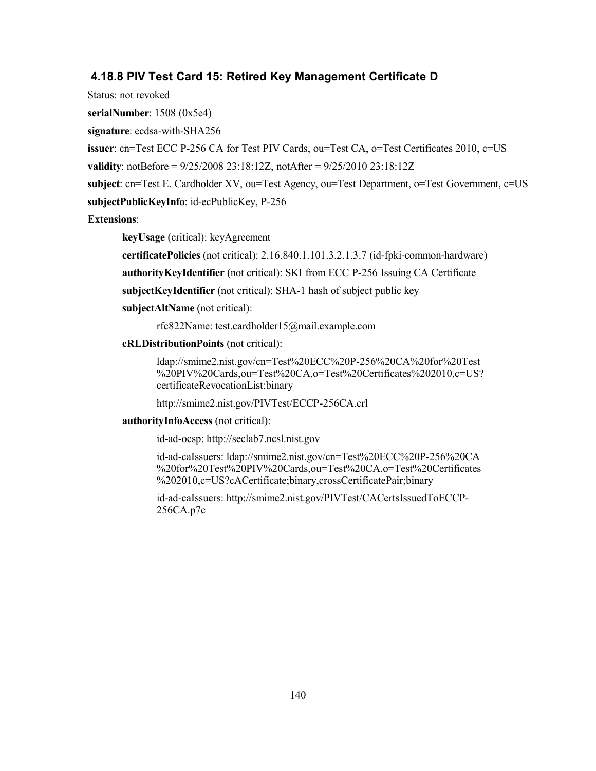### **4.18.8 PIV Test Card 15: Retired Key Management Certificate D**

Status: not revoked

**serialNumber**: 1508 (0x5e4)

**signature**: ecdsa-with-SHA256

**issuer**: [cn=Test ECC P-256 CA for Test PIV Cards, ou=Test CA, o=Test Certificates 2010, c=US](#page-25-0) 

**validity**: notBefore = 9/25/2008 23:18:12Z, notAfter = 9/25/2010 23:18:12Z

 **subject**: cn=Test E. Cardholder XV, ou=Test Agency, ou=Test Department, o=Test Government, c=US **subjectPublicKeyInfo**: id-ecPublicKey, P-256

**Extensions**:

**keyUsage** (critical): keyAgreement

**certificatePolicies** (not critical): 2.16.840.1.101.3.2.1.3.7 (id-fpki-common-hardware)

**authorityKeyIdentifier** (not critical): SKI from ECC P-256 Issuing CA Certificate

**subjectKeyIdentifier** (not critical): SHA-1 hash of subject public key

**subjectAltName** (not critical):

rfc822Name: test.cardholder15@mail.example.com

### **cRLDistributionPoints** (not critical):

ldap://smime2.nist.gov/cn=Test%20ECC%20P-256%20CA%20for%20Test %20PIV%20Cards,ou=Test%20CA,o=Test%20Certificates%202010,c=US? certificateRevocationList;binary

http://smime2.nist.gov/PIVTest/ECCP-256CA.crl

#### **authorityInfoAccess** (not critical):

id-ad-ocsp: http://seclab7.ncsl.nist.gov

id-ad-caIssuers: ldap://smime2.nist.gov/cn=Test%20ECC%20P-256%20CA %20for%20Test%20PIV%20Cards,ou=Test%20CA,o=Test%20Certificates %202010,c=US?cACertificate;binary,crossCertificatePair;binary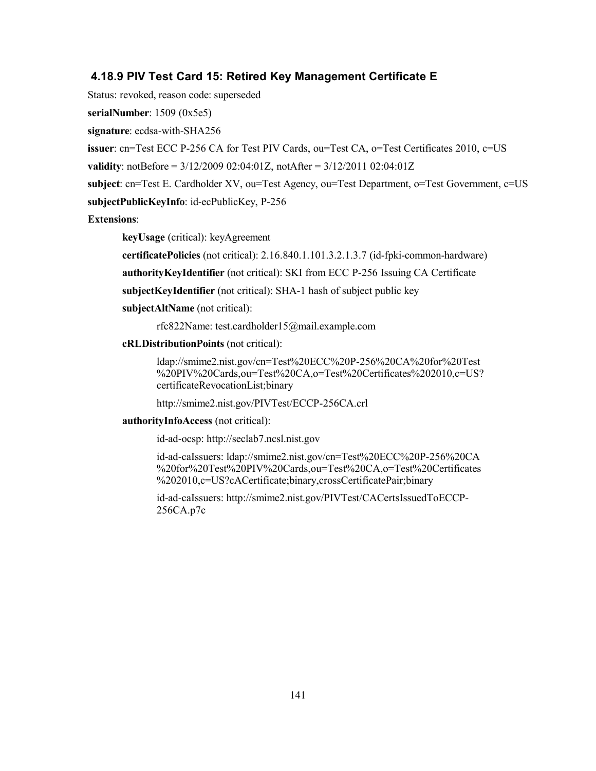### **4.18.9 PIV Test Card 15: Retired Key Management Certificate E**

Status: revoked, reason code: superseded

**serialNumber**: 1509 (0x5e5)

**signature**: ecdsa-with-SHA256

**issuer**: [cn=Test ECC P-256 CA for Test PIV Cards, ou=Test CA, o=Test Certificates 2010, c=US](#page-25-0) 

**validity**: notBefore = 3/12/2009 02:04:01Z, notAfter = 3/12/2011 02:04:01Z

```
 
subject: cn=Test E. Cardholder XV, ou=Test Agency, ou=Test Department, o=Test Government, c=US
```
**subjectPublicKeyInfo**: id-ecPublicKey, P-256

**Extensions**:

**keyUsage** (critical): keyAgreement

**certificatePolicies** (not critical): 2.16.840.1.101.3.2.1.3.7 (id-fpki-common-hardware)

**authorityKeyIdentifier** (not critical): SKI from ECC P-256 Issuing CA Certificate

**subjectKeyIdentifier** (not critical): SHA-1 hash of subject public key

**subjectAltName** (not critical):

rfc822Name: test.cardholder15@mail.example.com

### **cRLDistributionPoints** (not critical):

ldap://smime2.nist.gov/cn=Test%20ECC%20P-256%20CA%20for%20Test %20PIV%20Cards,ou=Test%20CA,o=Test%20Certificates%202010,c=US? certificateRevocationList;binary

http://smime2.nist.gov/PIVTest/ECCP-256CA.crl

#### **authorityInfoAccess** (not critical):

id-ad-ocsp: http://seclab7.ncsl.nist.gov

id-ad-caIssuers: ldap://smime2.nist.gov/cn=Test%20ECC%20P-256%20CA %20for%20Test%20PIV%20Cards,ou=Test%20CA,o=Test%20Certificates %202010,c=US?cACertificate;binary,crossCertificatePair;binary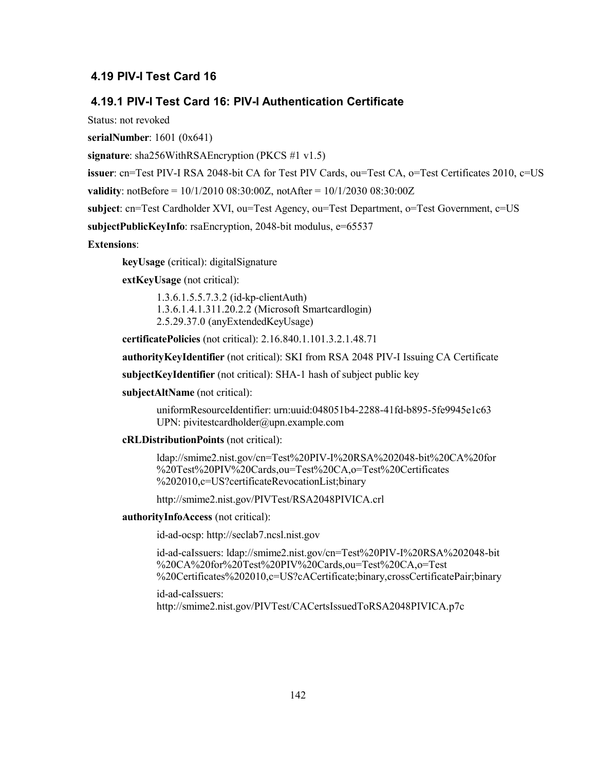## **4.19 PIV-I Test Card 16**

## **4.19.1 PIV-I Test Card 16: PIV-I Authentication Certificate**

Status: not revoked

**serialNumber**: 1601 (0x641)

**signature**: sha256WithRSAEncryption (PKCS #1 v1.5)

**issuer**: [cn=Test PIV-I RSA 2048-bit CA for Test PIV Cards, ou=Test CA, o=Test Certificates 2010, c=US](#page-28-0) 

**validity**: notBefore = 10/1/2010 08:30:00Z, notAfter = 10/1/2030 08:30:00Z

**subject**: cn=Test Cardholder XVI, ou=Test Agency, ou=Test Department, o=Test Government, c=US

**subjectPublicKeyInfo**: rsaEncryption, 2048-bit modulus, e=65537

### **Extensions**:

**keyUsage** (critical): digitalSignature

**extKeyUsage** (not critical):

 1.3.6.1.4.1.311.20.2.2 (Microsoft Smartcardlogin) 1.3.6.1.5.5.7.3.2 (id-kp-clientAuth) 2.5.29.37.0 (anyExtendedKeyUsage)

**certificatePolicies** (not critical): 2.16.840.1.101.3.2.1.48.71

**authorityKeyIdentifier** (not critical): SKI from RSA 2048 PIV-I Issuing CA Certificate

**subjectKeyIdentifier** (not critical): SHA-1 hash of subject public key

**subjectAltName** (not critical):

uniformResourceIdentifier: urn:uuid:048051b4-2288-41fd-b895-5fe9945e1c63 UPN: pivitestcardholder@upn.example.com

#### **cRLDistributionPoints** (not critical):

ldap://smime2.nist.gov/cn=Test%20PIV-I%20RSA%202048-bit%20CA%20for %20Test%20PIV%20Cards,ou=Test%20CA,o=Test%20Certificates %202010,c=US?certificateRevocationList;binary

http://smime2.nist.gov/PIVTest/RSA2048PIVICA.crl

**authorityInfoAccess** (not critical):

id-ad-ocsp: http://seclab7.ncsl.nist.gov

id-ad-caIssuers: ldap://smime2.nist.gov/cn=Test%20PIV-I%20RSA%202048-bit %20CA%20for%20Test%20PIV%20Cards,ou=Test%20CA,o=Test %20Certificates%202010,c=US?cACertificate;binary,crossCertificatePair;binary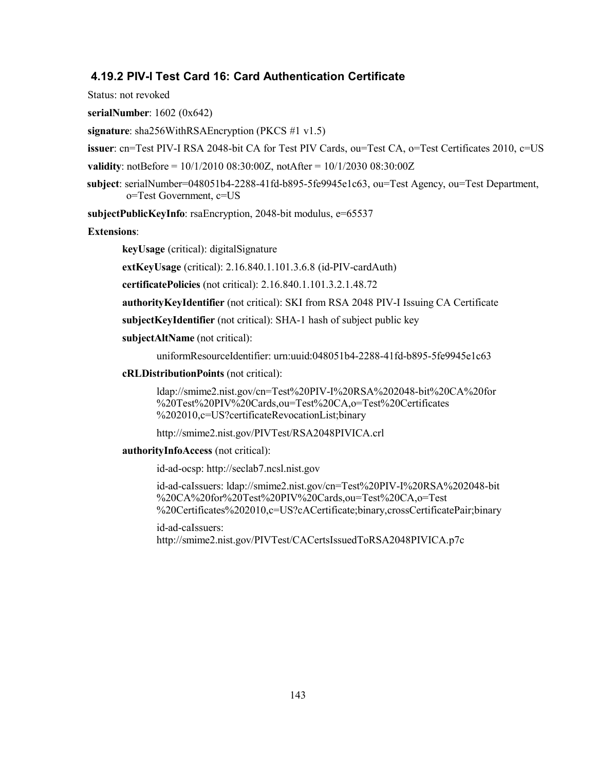### **4.19.2 PIV-I Test Card 16: Card Authentication Certificate**

Status: not revoked

**serialNumber**: 1602 (0x642)

**signature**: sha256WithRSAEncryption (PKCS #1 v1.5)

**issuer**: [cn=Test PIV-I RSA 2048-bit CA for Test PIV Cards, ou=Test CA, o=Test Certificates 2010, c=US](#page-28-0)

**validity**: notBefore = 10/1/2010 08:30:00Z, notAfter = 10/1/2030 08:30:00Z

 **subject**: serialNumber=048051b4-2288-41fd-b895-5fe9945e1c63, ou=Test Agency, ou=Test Department, o=Test Government, c=US

**subjectPublicKeyInfo**: rsaEncryption, 2048-bit modulus, e=65537

#### **Extensions**:

**keyUsage** (critical): digitalSignature

**extKeyUsage** (critical): 2.16.840.1.101.3.6.8 (id-PIV-cardAuth)

**certificatePolicies** (not critical): 2.16.840.1.101.3.2.1.48.72

**authorityKeyIdentifier** (not critical): SKI from RSA 2048 PIV-I Issuing CA Certificate

**subjectKeyIdentifier** (not critical): SHA-1 hash of subject public key

**subjectAltName** (not critical):

uniformResourceIdentifier: urn:uuid:048051b4-2288-41fd-b895-5fe9945e1c63

#### **cRLDistributionPoints** (not critical):

ldap://smime2.nist.gov/cn=Test%20PIV-I%20RSA%202048-bit%20CA%20for %20Test%20PIV%20Cards,ou=Test%20CA,o=Test%20Certificates %202010,c=US?certificateRevocationList;binary

http://smime2.nist.gov/PIVTest/RSA2048PIVICA.crl

#### **authorityInfoAccess** (not critical):

id-ad-ocsp: http://seclab7.ncsl.nist.gov

id-ad-caIssuers: ldap://smime2.nist.gov/cn=Test%20PIV-I%20RSA%202048-bit %20CA%20for%20Test%20PIV%20Cards,ou=Test%20CA,o=Test %20Certificates%202010,c=US?cACertificate;binary,crossCertificatePair;binary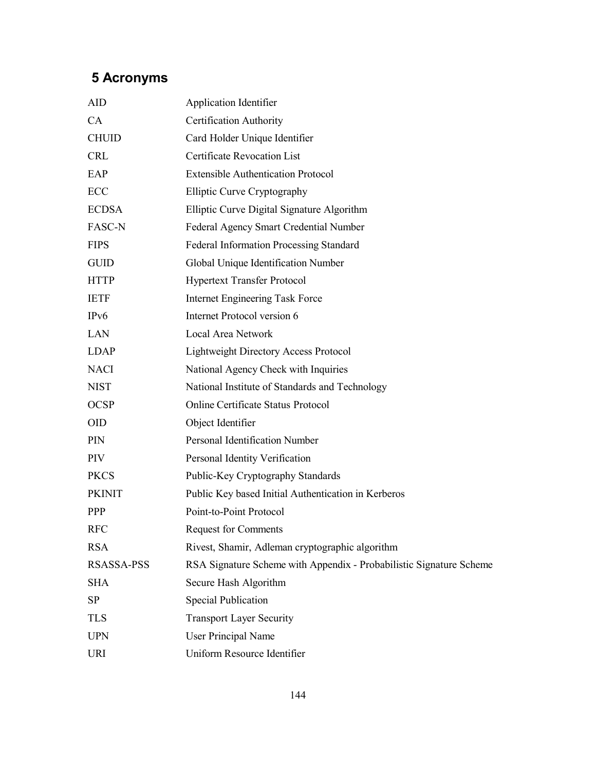# **5 Acronyms**

| <b>AID</b>        | Application Identifier                                              |
|-------------------|---------------------------------------------------------------------|
| CA                | Certification Authority                                             |
| <b>CHUID</b>      | Card Holder Unique Identifier                                       |
| <b>CRL</b>        | Certificate Revocation List                                         |
| EAP               | <b>Extensible Authentication Protocol</b>                           |
| ECC               | <b>Elliptic Curve Cryptography</b>                                  |
| <b>ECDSA</b>      | Elliptic Curve Digital Signature Algorithm                          |
| <b>FASC-N</b>     | Federal Agency Smart Credential Number                              |
| <b>FIPS</b>       | <b>Federal Information Processing Standard</b>                      |
| <b>GUID</b>       | Global Unique Identification Number                                 |
| <b>HTTP</b>       | <b>Hypertext Transfer Protocol</b>                                  |
| <b>IETF</b>       | <b>Internet Engineering Task Force</b>                              |
| IP <sub>v</sub> 6 | Internet Protocol version 6                                         |
| <b>LAN</b>        | Local Area Network                                                  |
| <b>LDAP</b>       | <b>Lightweight Directory Access Protocol</b>                        |
| <b>NACI</b>       | National Agency Check with Inquiries                                |
| <b>NIST</b>       | National Institute of Standards and Technology                      |
| <b>OCSP</b>       | Online Certificate Status Protocol                                  |
| <b>OID</b>        | Object Identifier                                                   |
| PIN               | Personal Identification Number                                      |
| PIV               | Personal Identity Verification                                      |
| <b>PKCS</b>       | Public-Key Cryptography Standards                                   |
| <b>PKINIT</b>     | Public Key based Initial Authentication in Kerberos                 |
| <b>PPP</b>        | Point-to-Point Protocol                                             |
| <b>RFC</b>        | Request for Comments                                                |
| <b>RSA</b>        | Rivest, Shamir, Adleman cryptographic algorithm                     |
| <b>RSASSA-PSS</b> | RSA Signature Scheme with Appendix - Probabilistic Signature Scheme |
| <b>SHA</b>        | Secure Hash Algorithm                                               |
| <b>SP</b>         | <b>Special Publication</b>                                          |
| <b>TLS</b>        | <b>Transport Layer Security</b>                                     |
| <b>UPN</b>        | <b>User Principal Name</b>                                          |
| <b>URI</b>        | Uniform Resource Identifier                                         |
|                   |                                                                     |